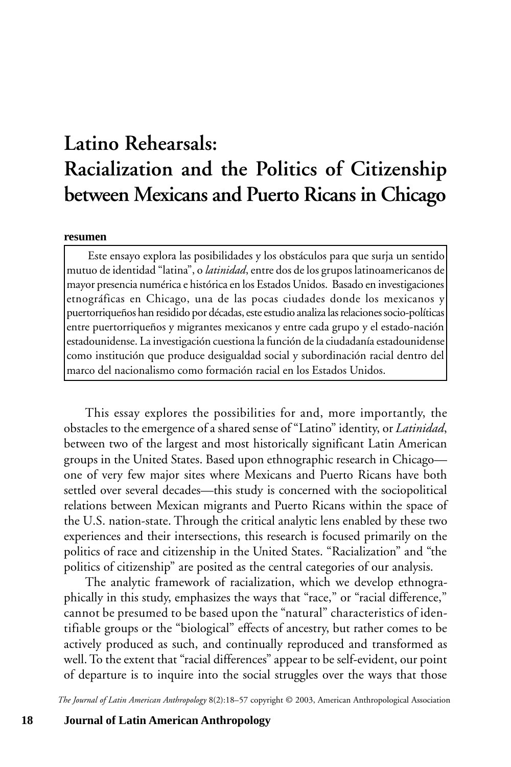# **Latino Rehearsals: Racialization and the Politics of Citizenship between Mexicans and Puerto Ricans in Chicago**

#### **resumen**

Este ensayo explora las posibilidades y los obstáculos para que surja un sentido mutuo de identidad "latina", o *latinidad*, entre dos de los grupos latinoamericanos de mayor presencia numérica e histórica en los Estados Unidos. Basado en investigaciones etnográficas en Chicago, una de las pocas ciudades donde los mexicanos y puertorriqueños han residido por décadas, este estudio analiza las relaciones socio-políticas entre puertorriqueños y migrantes mexicanos y entre cada grupo y el estado-nación estadounidense. La investigación cuestiona la función de la ciudadanía estadounidense como institución que produce desigualdad social y subordinación racial dentro del marco del nacionalismo como formación racial en los Estados Unidos.

This essay explores the possibilities for and, more importantly, the obstacles to the emergence of a shared sense of "Latino" identity, or *Latinidad*, between two of the largest and most historically significant Latin American groups in the United States. Based upon ethnographic research in Chicago one of very few major sites where Mexicans and Puerto Ricans have both settled over several decades—this study is concerned with the sociopolitical relations between Mexican migrants and Puerto Ricans within the space of the U.S. nation-state. Through the critical analytic lens enabled by these two experiences and their intersections, this research is focused primarily on the politics of race and citizenship in the United States. "Racialization" and "the politics of citizenship" are posited as the central categories of our analysis.

The analytic framework of racialization, which we develop ethnographically in this study, emphasizes the ways that "race," or "racial difference," cannot be presumed to be based upon the "natural" characteristics of identifiable groups or the "biological" effects of ancestry, but rather comes to be actively produced as such, and continually reproduced and transformed as well. To the extent that "racial differences" appear to be self-evident, our point of departure is to inquire into the social struggles over the ways that those

*The Journal of Latin American Anthropology* 8(2):18–57 copyright © 2003, American Anthropological Association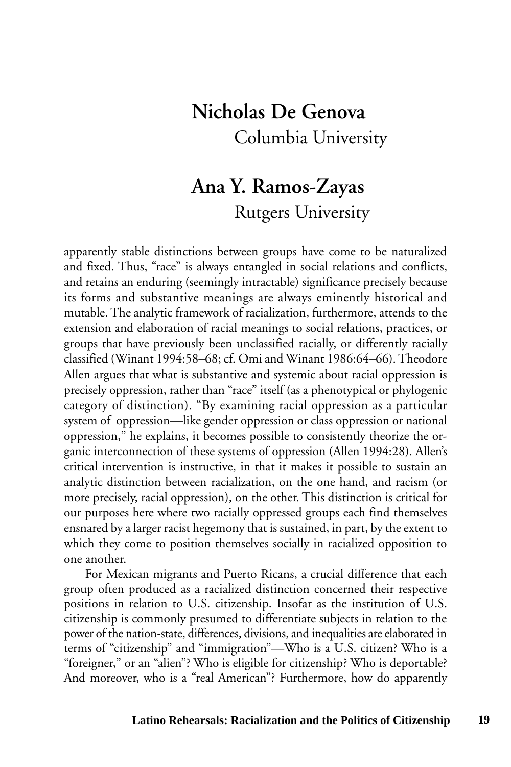## **Nicholas De Genova** Columbia University

## **Ana Y. Ramos-Zayas** Rutgers University

apparently stable distinctions between groups have come to be naturalized and fixed. Thus, "race" is always entangled in social relations and conflicts, and retains an enduring (seemingly intractable) significance precisely because its forms and substantive meanings are always eminently historical and mutable. The analytic framework of racialization, furthermore, attends to the extension and elaboration of racial meanings to social relations, practices, or groups that have previously been unclassified racially, or differently racially classified (Winant 1994:58–68; cf. Omi and Winant 1986:64–66). Theodore Allen argues that what is substantive and systemic about racial oppression is precisely oppression, rather than "race" itself (as a phenotypical or phylogenic category of distinction). "By examining racial oppression as a particular system of oppression—like gender oppression or class oppression or national oppression," he explains, it becomes possible to consistently theorize the organic interconnection of these systems of oppression (Allen 1994:28). Allen's critical intervention is instructive, in that it makes it possible to sustain an analytic distinction between racialization, on the one hand, and racism (or more precisely, racial oppression), on the other. This distinction is critical for our purposes here where two racially oppressed groups each find themselves ensnared by a larger racist hegemony that is sustained, in part, by the extent to which they come to position themselves socially in racialized opposition to one another.

For Mexican migrants and Puerto Ricans, a crucial difference that each group often produced as a racialized distinction concerned their respective positions in relation to U.S. citizenship. Insofar as the institution of U.S. citizenship is commonly presumed to differentiate subjects in relation to the power of the nation-state, differences, divisions, and inequalities are elaborated in terms of "citizenship" and "immigration"—Who is a U.S. citizen? Who is a "foreigner," or an "alien"? Who is eligible for citizenship? Who is deportable? And moreover, who is a "real American"? Furthermore, how do apparently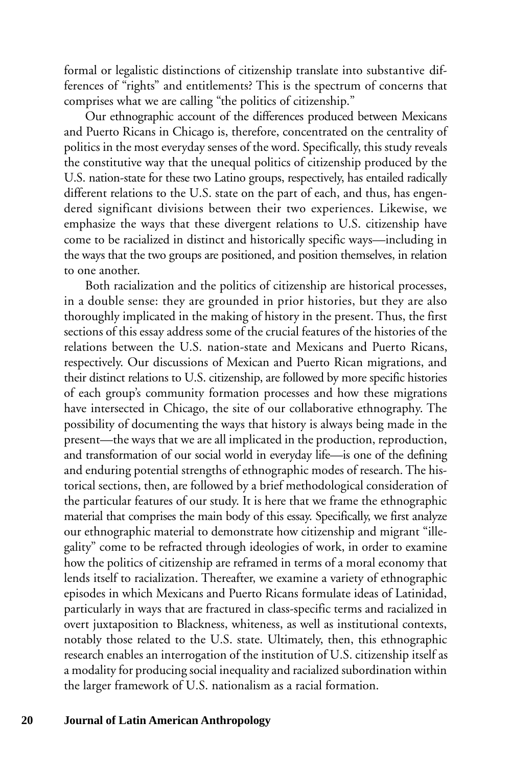formal or legalistic distinctions of citizenship translate into substantive differences of "rights" and entitlements? This is the spectrum of concerns that comprises what we are calling "the politics of citizenship."

Our ethnographic account of the differences produced between Mexicans and Puerto Ricans in Chicago is, therefore, concentrated on the centrality of politics in the most everyday senses of the word. Specifically, this study reveals the constitutive way that the unequal politics of citizenship produced by the U.S. nation-state for these two Latino groups, respectively, has entailed radically different relations to the U.S. state on the part of each, and thus, has engendered significant divisions between their two experiences. Likewise, we emphasize the ways that these divergent relations to U.S. citizenship have come to be racialized in distinct and historically specific ways—including in the ways that the two groups are positioned, and position themselves, in relation to one another.

Both racialization and the politics of citizenship are historical processes, in a double sense: they are grounded in prior histories, but they are also thoroughly implicated in the making of history in the present. Thus, the first sections of this essay address some of the crucial features of the histories of the relations between the U.S. nation-state and Mexicans and Puerto Ricans, respectively. Our discussions of Mexican and Puerto Rican migrations, and their distinct relations to U.S. citizenship, are followed by more specific histories of each group's community formation processes and how these migrations have intersected in Chicago, the site of our collaborative ethnography. The possibility of documenting the ways that history is always being made in the present—the ways that we are all implicated in the production, reproduction, and transformation of our social world in everyday life—is one of the defining and enduring potential strengths of ethnographic modes of research. The historical sections, then, are followed by a brief methodological consideration of the particular features of our study. It is here that we frame the ethnographic material that comprises the main body of this essay. Specifically, we first analyze our ethnographic material to demonstrate how citizenship and migrant "illegality" come to be refracted through ideologies of work, in order to examine how the politics of citizenship are reframed in terms of a moral economy that lends itself to racialization. Thereafter, we examine a variety of ethnographic episodes in which Mexicans and Puerto Ricans formulate ideas of Latinidad, particularly in ways that are fractured in class-specific terms and racialized in overt juxtaposition to Blackness, whiteness, as well as institutional contexts, notably those related to the U.S. state. Ultimately, then, this ethnographic research enables an interrogation of the institution of U.S. citizenship itself as a modality for producing social inequality and racialized subordination within the larger framework of U.S. nationalism as a racial formation.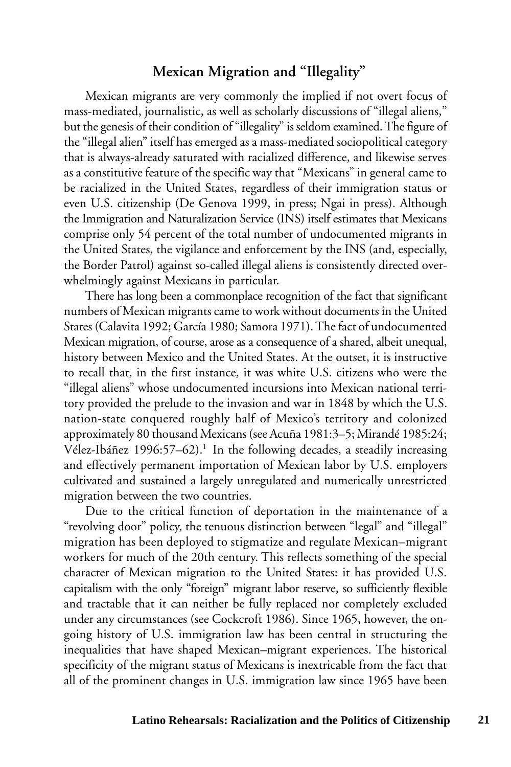#### **Mexican Migration and "Illegality"**

Mexican migrants are very commonly the implied if not overt focus of mass-mediated, journalistic, as well as scholarly discussions of "illegal aliens," but the genesis of their condition of "illegality" is seldom examined. The figure of the "illegal alien" itself has emerged as a mass-mediated sociopolitical category that is always-already saturated with racialized difference, and likewise serves as a constitutive feature of the specific way that "Mexicans" in general came to be racialized in the United States, regardless of their immigration status or even U.S. citizenship (De Genova 1999, in press; Ngai in press). Although the Immigration and Naturalization Service (INS) itself estimates that Mexicans comprise only 54 percent of the total number of undocumented migrants in the United States, the vigilance and enforcement by the INS (and, especially, the Border Patrol) against so-called illegal aliens is consistently directed overwhelmingly against Mexicans in particular.

There has long been a commonplace recognition of the fact that significant numbers of Mexican migrants came to work without documents in the United States (Calavita 1992; García 1980; Samora 1971). The fact of undocumented Mexican migration, of course, arose as a consequence of a shared, albeit unequal, history between Mexico and the United States. At the outset, it is instructive to recall that, in the first instance, it was white U.S. citizens who were the "illegal aliens" whose undocumented incursions into Mexican national territory provided the prelude to the invasion and war in 1848 by which the U.S. nation-state conquered roughly half of Mexico's territory and colonized approximately 80 thousand Mexicans (see Acuña 1981:3–5; Mirandé 1985:24; Vélez-Ibáñez 1996:57–62).<sup>1</sup> In the following decades, a steadily increasing and effectively permanent importation of Mexican labor by U.S. employers cultivated and sustained a largely unregulated and numerically unrestricted migration between the two countries.

Due to the critical function of deportation in the maintenance of a "revolving door" policy, the tenuous distinction between "legal" and "illegal" migration has been deployed to stigmatize and regulate Mexican–migrant workers for much of the 20th century. This reflects something of the special character of Mexican migration to the United States: it has provided U.S. capitalism with the only "foreign" migrant labor reserve, so sufficiently flexible and tractable that it can neither be fully replaced nor completely excluded under any circumstances (see Cockcroft 1986). Since 1965, however, the ongoing history of U.S. immigration law has been central in structuring the inequalities that have shaped Mexican–migrant experiences. The historical specificity of the migrant status of Mexicans is inextricable from the fact that all of the prominent changes in U.S. immigration law since 1965 have been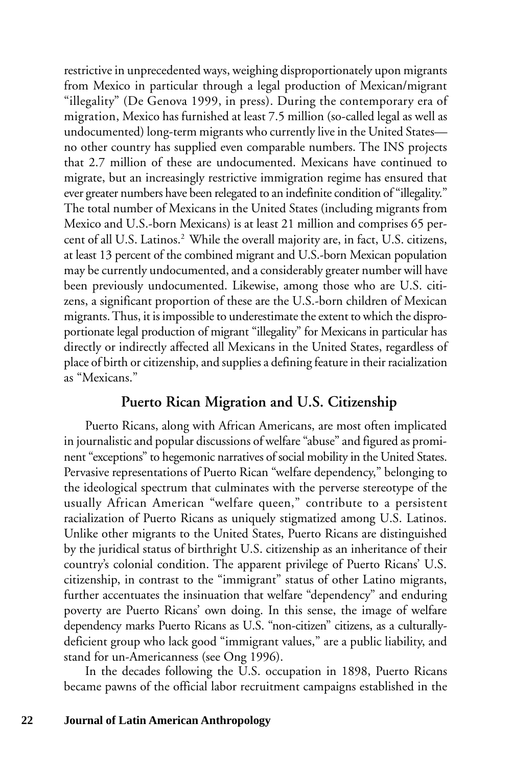restrictive in unprecedented ways, weighing disproportionately upon migrants from Mexico in particular through a legal production of Mexican/migrant "illegality" (De Genova 1999, in press). During the contemporary era of migration, Mexico has furnished at least 7.5 million (so-called legal as well as undocumented) long-term migrants who currently live in the United States no other country has supplied even comparable numbers. The INS projects that 2.7 million of these are undocumented. Mexicans have continued to migrate, but an increasingly restrictive immigration regime has ensured that ever greater numbers have been relegated to an indefinite condition of "illegality." The total number of Mexicans in the United States (including migrants from Mexico and U.S.-born Mexicans) is at least 21 million and comprises 65 percent of all U.S. Latinos.<sup>2</sup> While the overall majority are, in fact, U.S. citizens, at least 13 percent of the combined migrant and U.S.-born Mexican population may be currently undocumented, and a considerably greater number will have been previously undocumented. Likewise, among those who are U.S. citizens, a significant proportion of these are the U.S.-born children of Mexican migrants. Thus, it is impossible to underestimate the extent to which the disproportionate legal production of migrant "illegality" for Mexicans in particular has directly or indirectly affected all Mexicans in the United States, regardless of place of birth or citizenship, and supplies a defining feature in their racialization as "Mexicans."

### **Puerto Rican Migration and U.S. Citizenship**

Puerto Ricans, along with African Americans, are most often implicated in journalistic and popular discussions of welfare "abuse" and figured as prominent "exceptions" to hegemonic narratives of social mobility in the United States. Pervasive representations of Puerto Rican "welfare dependency," belonging to the ideological spectrum that culminates with the perverse stereotype of the usually African American "welfare queen," contribute to a persistent racialization of Puerto Ricans as uniquely stigmatized among U.S. Latinos. Unlike other migrants to the United States, Puerto Ricans are distinguished by the juridical status of birthright U.S. citizenship as an inheritance of their country's colonial condition. The apparent privilege of Puerto Ricans' U.S. citizenship, in contrast to the "immigrant" status of other Latino migrants, further accentuates the insinuation that welfare "dependency" and enduring poverty are Puerto Ricans' own doing. In this sense, the image of welfare dependency marks Puerto Ricans as U.S. "non-citizen" citizens, as a culturallydeficient group who lack good "immigrant values," are a public liability, and stand for un-Americanness (see Ong 1996).

In the decades following the U.S. occupation in 1898, Puerto Ricans became pawns of the official labor recruitment campaigns established in the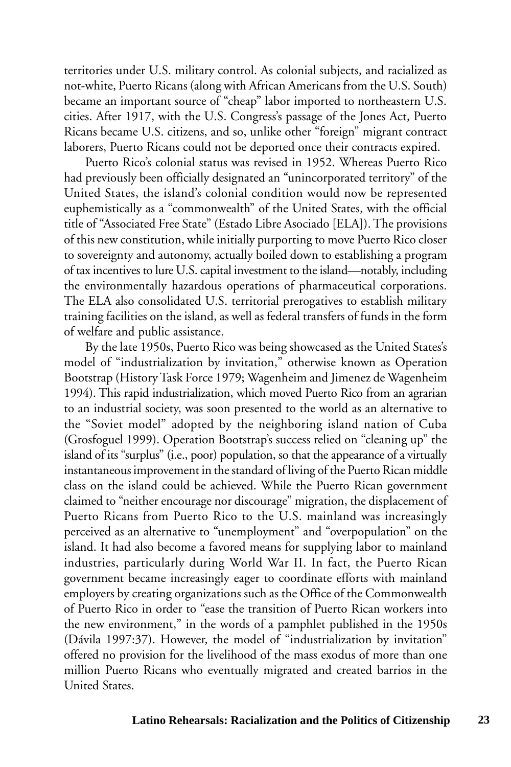territories under U.S. military control. As colonial subjects, and racialized as not-white, Puerto Ricans (along with African Americans from the U.S. South) became an important source of "cheap" labor imported to northeastern U.S. cities. After 1917, with the U.S. Congress's passage of the Jones Act, Puerto Ricans became U.S. citizens, and so, unlike other "foreign" migrant contract laborers, Puerto Ricans could not be deported once their contracts expired.

Puerto Rico's colonial status was revised in 1952. Whereas Puerto Rico had previously been officially designated an "unincorporated territory" of the United States, the island's colonial condition would now be represented euphemistically as a "commonwealth" of the United States, with the official title of "Associated Free State" (Estado Libre Asociado [ELA]). The provisions of this new constitution, while initially purporting to move Puerto Rico closer to sovereignty and autonomy, actually boiled down to establishing a program of tax incentives to lure U.S. capital investment to the island—notably, including the environmentally hazardous operations of pharmaceutical corporations. The ELA also consolidated U.S. territorial prerogatives to establish military training facilities on the island, as well as federal transfers of funds in the form of welfare and public assistance.

By the late 1950s, Puerto Rico was being showcased as the United States's model of "industrialization by invitation," otherwise known as Operation Bootstrap (History Task Force 1979; Wagenheim and Jimenez de Wagenheim 1994). This rapid industrialization, which moved Puerto Rico from an agrarian to an industrial society, was soon presented to the world as an alternative to the "Soviet model" adopted by the neighboring island nation of Cuba (Grosfoguel 1999). Operation Bootstrap's success relied on "cleaning up" the island of its "surplus" (i.e., poor) population, so that the appearance of a virtually instantaneous improvement in the standard of living of the Puerto Rican middle class on the island could be achieved. While the Puerto Rican government claimed to "neither encourage nor discourage" migration, the displacement of Puerto Ricans from Puerto Rico to the U.S. mainland was increasingly perceived as an alternative to "unemployment" and "overpopulation" on the island. It had also become a favored means for supplying labor to mainland industries, particularly during World War II. In fact, the Puerto Rican government became increasingly eager to coordinate efforts with mainland employers by creating organizations such as the Office of the Commonwealth of Puerto Rico in order to "ease the transition of Puerto Rican workers into the new environment," in the words of a pamphlet published in the 1950s (Dávila 1997:37). However, the model of "industrialization by invitation" offered no provision for the livelihood of the mass exodus of more than one million Puerto Ricans who eventually migrated and created barrios in the United States.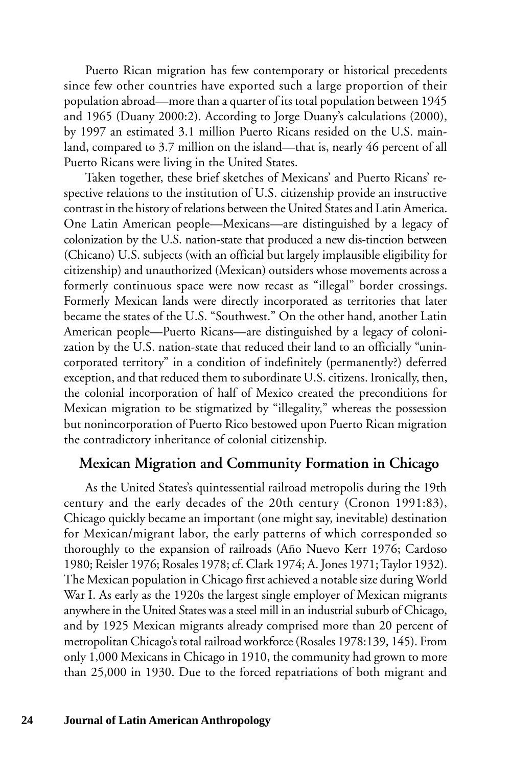Puerto Rican migration has few contemporary or historical precedents since few other countries have exported such a large proportion of their population abroad—more than a quarter of its total population between 1945 and 1965 (Duany 2000:2). According to Jorge Duany's calculations (2000), by 1997 an estimated 3.1 million Puerto Ricans resided on the U.S. mainland, compared to 3.7 million on the island—that is, nearly 46 percent of all Puerto Ricans were living in the United States.

Taken together, these brief sketches of Mexicans' and Puerto Ricans' respective relations to the institution of U.S. citizenship provide an instructive contrast in the history of relations between the United States and Latin America. One Latin American people—Mexicans—are distinguished by a legacy of colonization by the U.S. nation-state that produced a new dis-tinction between (Chicano) U.S. subjects (with an official but largely implausible eligibility for citizenship) and unauthorized (Mexican) outsiders whose movements across a formerly continuous space were now recast as "illegal" border crossings. Formerly Mexican lands were directly incorporated as territories that later became the states of the U.S. "Southwest." On the other hand, another Latin American people—Puerto Ricans—are distinguished by a legacy of colonization by the U.S. nation-state that reduced their land to an officially "unincorporated territory" in a condition of indefinitely (permanently?) deferred exception, and that reduced them to subordinate U.S. citizens. Ironically, then, the colonial incorporation of half of Mexico created the preconditions for Mexican migration to be stigmatized by "illegality," whereas the possession but nonincorporation of Puerto Rico bestowed upon Puerto Rican migration the contradictory inheritance of colonial citizenship.

#### **Mexican Migration and Community Formation in Chicago**

As the United States's quintessential railroad metropolis during the 19th century and the early decades of the 20th century (Cronon 1991:83), Chicago quickly became an important (one might say, inevitable) destination for Mexican/migrant labor, the early patterns of which corresponded so thoroughly to the expansion of railroads (Año Nuevo Kerr 1976; Cardoso 1980; Reisler 1976; Rosales 1978; cf. Clark 1974; A. Jones 1971; Taylor 1932). The Mexican population in Chicago first achieved a notable size during World War I. As early as the 1920s the largest single employer of Mexican migrants anywhere in the United States was a steel mill in an industrial suburb of Chicago, and by 1925 Mexican migrants already comprised more than 20 percent of metropolitan Chicago's total railroad workforce (Rosales 1978:139, 145). From only 1,000 Mexicans in Chicago in 1910, the community had grown to more than 25,000 in 1930. Due to the forced repatriations of both migrant and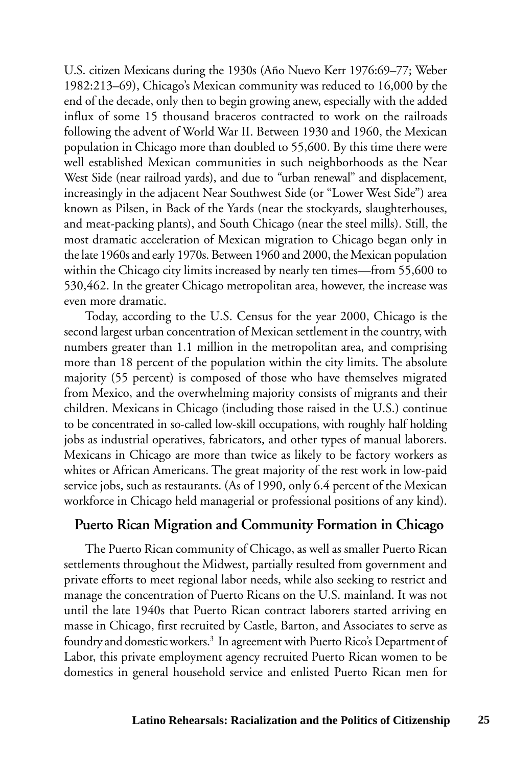U.S. citizen Mexicans during the 1930s (Año Nuevo Kerr 1976:69–77; Weber 1982:213–69), Chicago's Mexican community was reduced to 16,000 by the end of the decade, only then to begin growing anew, especially with the added influx of some 15 thousand braceros contracted to work on the railroads following the advent of World War II. Between 1930 and 1960, the Mexican population in Chicago more than doubled to 55,600. By this time there were well established Mexican communities in such neighborhoods as the Near West Side (near railroad yards), and due to "urban renewal" and displacement, increasingly in the adjacent Near Southwest Side (or "Lower West Side") area known as Pilsen, in Back of the Yards (near the stockyards, slaughterhouses, and meat-packing plants), and South Chicago (near the steel mills). Still, the most dramatic acceleration of Mexican migration to Chicago began only in the late 1960s and early 1970s. Between 1960 and 2000, the Mexican population within the Chicago city limits increased by nearly ten times—from 55,600 to 530,462. In the greater Chicago metropolitan area, however, the increase was even more dramatic.

Today, according to the U.S. Census for the year 2000, Chicago is the second largest urban concentration of Mexican settlement in the country, with numbers greater than 1.1 million in the metropolitan area, and comprising more than 18 percent of the population within the city limits. The absolute majority (55 percent) is composed of those who have themselves migrated from Mexico, and the overwhelming majority consists of migrants and their children. Mexicans in Chicago (including those raised in the U.S.) continue to be concentrated in so-called low-skill occupations, with roughly half holding jobs as industrial operatives, fabricators, and other types of manual laborers. Mexicans in Chicago are more than twice as likely to be factory workers as whites or African Americans. The great majority of the rest work in low-paid service jobs, such as restaurants. (As of 1990, only 6.4 percent of the Mexican workforce in Chicago held managerial or professional positions of any kind).

#### **Puerto Rican Migration and Community Formation in Chicago**

The Puerto Rican community of Chicago, as well as smaller Puerto Rican settlements throughout the Midwest, partially resulted from government and private efforts to meet regional labor needs, while also seeking to restrict and manage the concentration of Puerto Ricans on the U.S. mainland. It was not until the late 1940s that Puerto Rican contract laborers started arriving en masse in Chicago, first recruited by Castle, Barton, and Associates to serve as foundry and domestic workers.<sup>3</sup> In agreement with Puerto Rico's Department of Labor, this private employment agency recruited Puerto Rican women to be domestics in general household service and enlisted Puerto Rican men for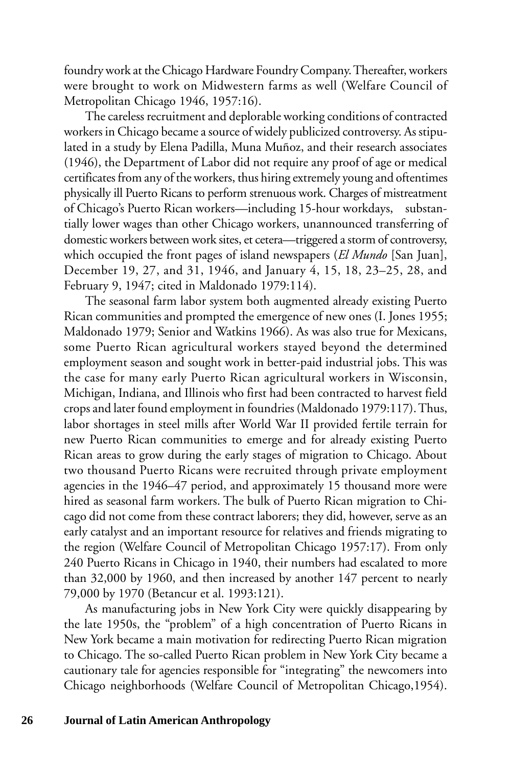foundry work at the Chicago Hardware Foundry Company. Thereafter, workers were brought to work on Midwestern farms as well (Welfare Council of Metropolitan Chicago 1946, 1957:16).

The careless recruitment and deplorable working conditions of contracted workers in Chicago became a source of widely publicized controversy. As stipulated in a study by Elena Padilla, Muna Muñoz, and their research associates (1946), the Department of Labor did not require any proof of age or medical certificates from any of the workers, thus hiring extremely young and oftentimes physically ill Puerto Ricans to perform strenuous work. Charges of mistreatment of Chicago's Puerto Rican workers—including 15-hour workdays, substantially lower wages than other Chicago workers, unannounced transferring of domestic workers between work sites, et cetera—triggered a storm of controversy, which occupied the front pages of island newspapers (*El Mundo* [San Juan], December 19, 27, and 31, 1946, and January 4, 15, 18, 23–25, 28, and February 9, 1947; cited in Maldonado 1979:114).

The seasonal farm labor system both augmented already existing Puerto Rican communities and prompted the emergence of new ones (I. Jones 1955; Maldonado 1979; Senior and Watkins 1966). As was also true for Mexicans, some Puerto Rican agricultural workers stayed beyond the determined employment season and sought work in better-paid industrial jobs. This was the case for many early Puerto Rican agricultural workers in Wisconsin, Michigan, Indiana, and Illinois who first had been contracted to harvest field crops and later found employment in foundries (Maldonado 1979:117). Thus, labor shortages in steel mills after World War II provided fertile terrain for new Puerto Rican communities to emerge and for already existing Puerto Rican areas to grow during the early stages of migration to Chicago. About two thousand Puerto Ricans were recruited through private employment agencies in the 1946–47 period, and approximately 15 thousand more were hired as seasonal farm workers. The bulk of Puerto Rican migration to Chicago did not come from these contract laborers; they did, however, serve as an early catalyst and an important resource for relatives and friends migrating to the region (Welfare Council of Metropolitan Chicago 1957:17). From only 240 Puerto Ricans in Chicago in 1940, their numbers had escalated to more than 32,000 by 1960, and then increased by another 147 percent to nearly 79,000 by 1970 (Betancur et al. 1993:121).

As manufacturing jobs in New York City were quickly disappearing by the late 1950s, the "problem" of a high concentration of Puerto Ricans in New York became a main motivation for redirecting Puerto Rican migration to Chicago. The so-called Puerto Rican problem in New York City became a cautionary tale for agencies responsible for "integrating" the newcomers into Chicago neighborhoods (Welfare Council of Metropolitan Chicago,1954).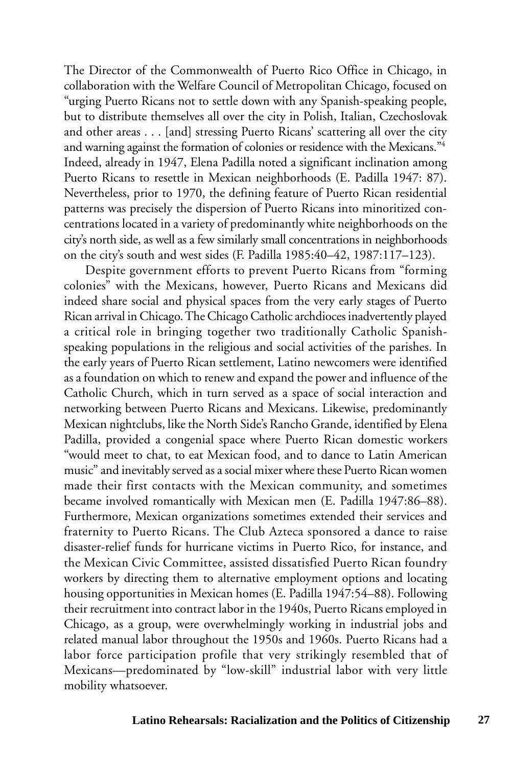The Director of the Commonwealth of Puerto Rico Office in Chicago, in collaboration with the Welfare Council of Metropolitan Chicago, focused on "urging Puerto Ricans not to settle down with any Spanish-speaking people, but to distribute themselves all over the city in Polish, Italian, Czechoslovak and other areas . . . [and] stressing Puerto Ricans' scattering all over the city and warning against the formation of colonies or residence with the Mexicans."4 Indeed, already in 1947, Elena Padilla noted a significant inclination among Puerto Ricans to resettle in Mexican neighborhoods (E. Padilla 1947: 87). Nevertheless, prior to 1970, the defining feature of Puerto Rican residential patterns was precisely the dispersion of Puerto Ricans into minoritized concentrations located in a variety of predominantly white neighborhoods on the city's north side, as well as a few similarly small concentrations in neighborhoods on the city's south and west sides (F. Padilla 1985:40–42, 1987:117–123).

Despite government efforts to prevent Puerto Ricans from "forming colonies" with the Mexicans, however, Puerto Ricans and Mexicans did indeed share social and physical spaces from the very early stages of Puerto Rican arrival in Chicago. The Chicago Catholic archdioces inadvertently played a critical role in bringing together two traditionally Catholic Spanishspeaking populations in the religious and social activities of the parishes. In the early years of Puerto Rican settlement, Latino newcomers were identified as a foundation on which to renew and expand the power and influence of the Catholic Church, which in turn served as a space of social interaction and networking between Puerto Ricans and Mexicans. Likewise, predominantly Mexican nightclubs, like the North Side's Rancho Grande, identified by Elena Padilla, provided a congenial space where Puerto Rican domestic workers "would meet to chat, to eat Mexican food, and to dance to Latin American music" and inevitably served as a social mixer where these Puerto Rican women made their first contacts with the Mexican community, and sometimes became involved romantically with Mexican men (E. Padilla 1947:86–88). Furthermore, Mexican organizations sometimes extended their services and fraternity to Puerto Ricans. The Club Azteca sponsored a dance to raise disaster-relief funds for hurricane victims in Puerto Rico, for instance, and the Mexican Civic Committee, assisted dissatisfied Puerto Rican foundry workers by directing them to alternative employment options and locating housing opportunities in Mexican homes (E. Padilla 1947:54–88). Following their recruitment into contract labor in the 1940s, Puerto Ricans employed in Chicago, as a group, were overwhelmingly working in industrial jobs and related manual labor throughout the 1950s and 1960s. Puerto Ricans had a labor force participation profile that very strikingly resembled that of Mexicans—predominated by "low-skill" industrial labor with very little mobility whatsoever.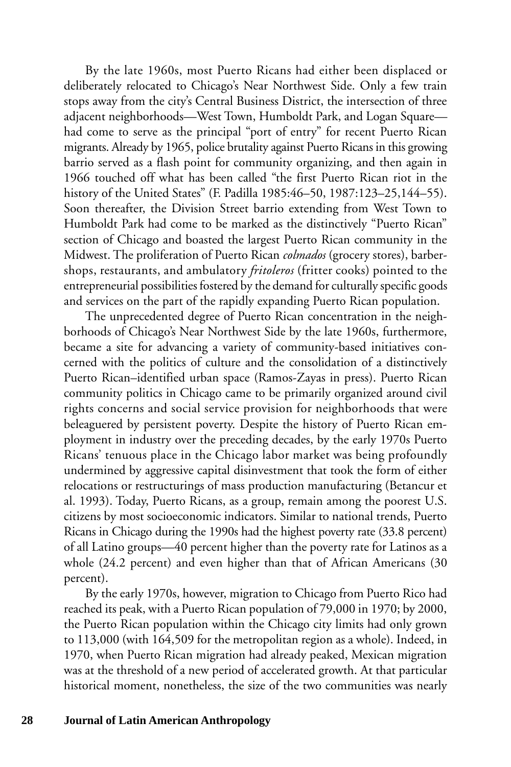By the late 1960s, most Puerto Ricans had either been displaced or deliberately relocated to Chicago's Near Northwest Side. Only a few train stops away from the city's Central Business District, the intersection of three adjacent neighborhoods—West Town, Humboldt Park, and Logan Square had come to serve as the principal "port of entry" for recent Puerto Rican migrants. Already by 1965, police brutality against Puerto Ricans in this growing barrio served as a flash point for community organizing, and then again in 1966 touched off what has been called "the first Puerto Rican riot in the history of the United States" (F. Padilla 1985:46–50, 1987:123–25,144–55). Soon thereafter, the Division Street barrio extending from West Town to Humboldt Park had come to be marked as the distinctively "Puerto Rican" section of Chicago and boasted the largest Puerto Rican community in the Midwest. The proliferation of Puerto Rican *colmados* (grocery stores), barbershops, restaurants, and ambulatory *fritoleros* (fritter cooks) pointed to the entrepreneurial possibilities fostered by the demand for culturally specific goods and services on the part of the rapidly expanding Puerto Rican population.

The unprecedented degree of Puerto Rican concentration in the neighborhoods of Chicago's Near Northwest Side by the late 1960s, furthermore, became a site for advancing a variety of community-based initiatives concerned with the politics of culture and the consolidation of a distinctively Puerto Rican–identified urban space (Ramos-Zayas in press). Puerto Rican community politics in Chicago came to be primarily organized around civil rights concerns and social service provision for neighborhoods that were beleaguered by persistent poverty. Despite the history of Puerto Rican employment in industry over the preceding decades, by the early 1970s Puerto Ricans' tenuous place in the Chicago labor market was being profoundly undermined by aggressive capital disinvestment that took the form of either relocations or restructurings of mass production manufacturing (Betancur et al. 1993). Today, Puerto Ricans, as a group, remain among the poorest U.S. citizens by most socioeconomic indicators. Similar to national trends, Puerto Ricans in Chicago during the 1990s had the highest poverty rate (33.8 percent) of all Latino groups—40 percent higher than the poverty rate for Latinos as a whole (24.2 percent) and even higher than that of African Americans (30 percent).

By the early 1970s, however, migration to Chicago from Puerto Rico had reached its peak, with a Puerto Rican population of 79,000 in 1970; by 2000, the Puerto Rican population within the Chicago city limits had only grown to 113,000 (with 164,509 for the metropolitan region as a whole). Indeed, in 1970, when Puerto Rican migration had already peaked, Mexican migration was at the threshold of a new period of accelerated growth. At that particular historical moment, nonetheless, the size of the two communities was nearly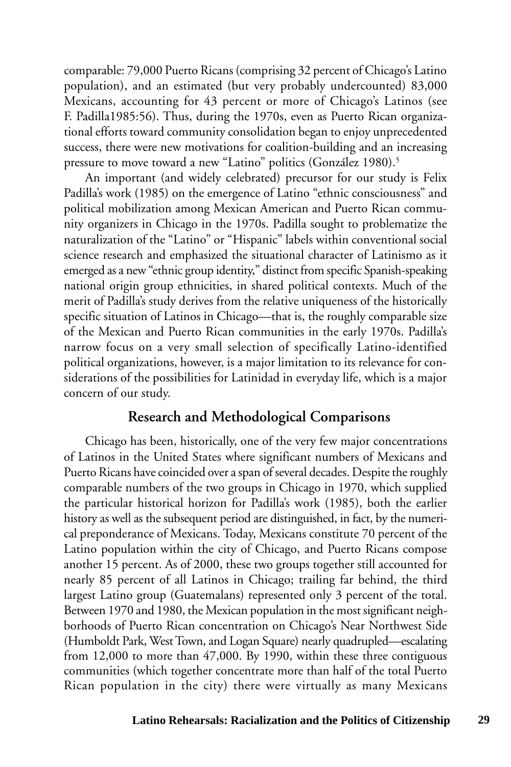comparable: 79,000 Puerto Ricans (comprising 32 percent of Chicago's Latino population), and an estimated (but very probably undercounted) 83,000 Mexicans, accounting for 43 percent or more of Chicago's Latinos (see F. Padilla1985:56). Thus, during the 1970s, even as Puerto Rican organizational efforts toward community consolidation began to enjoy unprecedented success, there were new motivations for coalition-building and an increasing pressure to move toward a new "Latino" politics (González 1980).<sup>5</sup>

An important (and widely celebrated) precursor for our study is Felix Padilla's work (1985) on the emergence of Latino "ethnic consciousness" and political mobilization among Mexican American and Puerto Rican community organizers in Chicago in the 1970s. Padilla sought to problematize the naturalization of the "Latino" or "Hispanic" labels within conventional social science research and emphasized the situational character of Latinismo as it emerged as a new "ethnic group identity," distinct from specific Spanish-speaking national origin group ethnicities, in shared political contexts. Much of the merit of Padilla's study derives from the relative uniqueness of the historically specific situation of Latinos in Chicago—that is, the roughly comparable size of the Mexican and Puerto Rican communities in the early 1970s. Padilla's narrow focus on a very small selection of specifically Latino-identified political organizations, however, is a major limitation to its relevance for considerations of the possibilities for Latinidad in everyday life, which is a major concern of our study.

#### **Research and Methodological Comparisons**

Chicago has been, historically, one of the very few major concentrations of Latinos in the United States where significant numbers of Mexicans and Puerto Ricans have coincided over a span of several decades. Despite the roughly comparable numbers of the two groups in Chicago in 1970, which supplied the particular historical horizon for Padilla's work (1985), both the earlier history as well as the subsequent period are distinguished, in fact, by the numerical preponderance of Mexicans. Today, Mexicans constitute 70 percent of the Latino population within the city of Chicago, and Puerto Ricans compose another 15 percent. As of 2000, these two groups together still accounted for nearly 85 percent of all Latinos in Chicago; trailing far behind, the third largest Latino group (Guatemalans) represented only 3 percent of the total. Between 1970 and 1980, the Mexican population in the most significant neighborhoods of Puerto Rican concentration on Chicago's Near Northwest Side (Humboldt Park, West Town, and Logan Square) nearly quadrupled—escalating from 12,000 to more than 47,000. By 1990, within these three contiguous communities (which together concentrate more than half of the total Puerto Rican population in the city) there were virtually as many Mexicans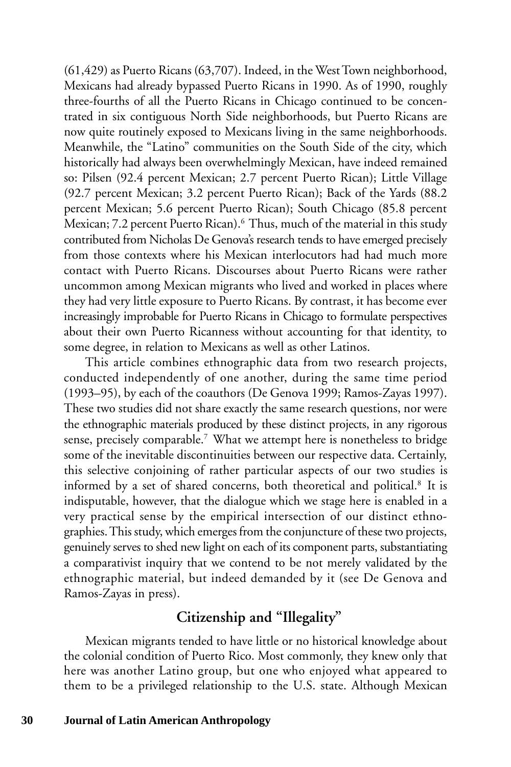(61,429) as Puerto Ricans (63,707). Indeed, in the West Town neighborhood, Mexicans had already bypassed Puerto Ricans in 1990. As of 1990, roughly three-fourths of all the Puerto Ricans in Chicago continued to be concentrated in six contiguous North Side neighborhoods, but Puerto Ricans are now quite routinely exposed to Mexicans living in the same neighborhoods. Meanwhile, the "Latino" communities on the South Side of the city, which historically had always been overwhelmingly Mexican, have indeed remained so: Pilsen (92.4 percent Mexican; 2.7 percent Puerto Rican); Little Village (92.7 percent Mexican; 3.2 percent Puerto Rican); Back of the Yards (88.2 percent Mexican; 5.6 percent Puerto Rican); South Chicago (85.8 percent Mexican; 7.2 percent Puerto Rican).<sup>6</sup> Thus, much of the material in this study contributed from Nicholas De Genova's research tends to have emerged precisely from those contexts where his Mexican interlocutors had had much more contact with Puerto Ricans. Discourses about Puerto Ricans were rather uncommon among Mexican migrants who lived and worked in places where they had very little exposure to Puerto Ricans. By contrast, it has become ever increasingly improbable for Puerto Ricans in Chicago to formulate perspectives about their own Puerto Ricanness without accounting for that identity, to some degree, in relation to Mexicans as well as other Latinos.

This article combines ethnographic data from two research projects, conducted independently of one another, during the same time period (1993–95), by each of the coauthors (De Genova 1999; Ramos-Zayas 1997). These two studies did not share exactly the same research questions, nor were the ethnographic materials produced by these distinct projects, in any rigorous sense, precisely comparable.<sup>7</sup> What we attempt here is nonetheless to bridge some of the inevitable discontinuities between our respective data. Certainly, this selective conjoining of rather particular aspects of our two studies is informed by a set of shared concerns, both theoretical and political.<sup>8</sup> It is indisputable, however, that the dialogue which we stage here is enabled in a very practical sense by the empirical intersection of our distinct ethnographies. This study, which emerges from the conjuncture of these two projects, genuinely serves to shed new light on each of its component parts, substantiating a comparativist inquiry that we contend to be not merely validated by the ethnographic material, but indeed demanded by it (see De Genova and Ramos-Zayas in press).

#### **Citizenship and "Illegality"**

Mexican migrants tended to have little or no historical knowledge about the colonial condition of Puerto Rico. Most commonly, they knew only that here was another Latino group, but one who enjoyed what appeared to them to be a privileged relationship to the U.S. state. Although Mexican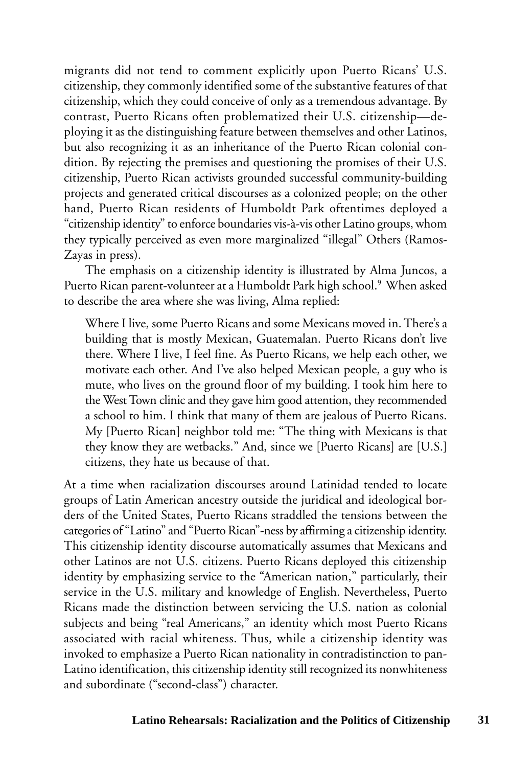migrants did not tend to comment explicitly upon Puerto Ricans' U.S. citizenship, they commonly identified some of the substantive features of that citizenship, which they could conceive of only as a tremendous advantage. By contrast, Puerto Ricans often problematized their U.S. citizenship—deploying it as the distinguishing feature between themselves and other Latinos, but also recognizing it as an inheritance of the Puerto Rican colonial condition. By rejecting the premises and questioning the promises of their U.S. citizenship, Puerto Rican activists grounded successful community-building projects and generated critical discourses as a colonized people; on the other hand, Puerto Rican residents of Humboldt Park oftentimes deployed a "citizenship identity" to enforce boundaries vis-à-vis other Latino groups, whom they typically perceived as even more marginalized "illegal" Others (Ramos-Zayas in press).

The emphasis on a citizenship identity is illustrated by Alma Juncos, a Puerto Rican parent-volunteer at a Humboldt Park high school.<sup>9</sup> When asked to describe the area where she was living, Alma replied:

Where I live, some Puerto Ricans and some Mexicans moved in. There's a building that is mostly Mexican, Guatemalan. Puerto Ricans don't live there. Where I live, I feel fine. As Puerto Ricans, we help each other, we motivate each other. And I've also helped Mexican people, a guy who is mute, who lives on the ground floor of my building. I took him here to the West Town clinic and they gave him good attention, they recommended a school to him. I think that many of them are jealous of Puerto Ricans. My [Puerto Rican] neighbor told me: "The thing with Mexicans is that they know they are wetbacks." And, since we [Puerto Ricans] are [U.S.] citizens, they hate us because of that.

At a time when racialization discourses around Latinidad tended to locate groups of Latin American ancestry outside the juridical and ideological borders of the United States, Puerto Ricans straddled the tensions between the categories of "Latino" and "Puerto Rican"-ness by affirming a citizenship identity. This citizenship identity discourse automatically assumes that Mexicans and other Latinos are not U.S. citizens. Puerto Ricans deployed this citizenship identity by emphasizing service to the "American nation," particularly, their service in the U.S. military and knowledge of English. Nevertheless, Puerto Ricans made the distinction between servicing the U.S. nation as colonial subjects and being "real Americans," an identity which most Puerto Ricans associated with racial whiteness. Thus, while a citizenship identity was invoked to emphasize a Puerto Rican nationality in contradistinction to pan-Latino identification, this citizenship identity still recognized its nonwhiteness and subordinate ("second-class") character.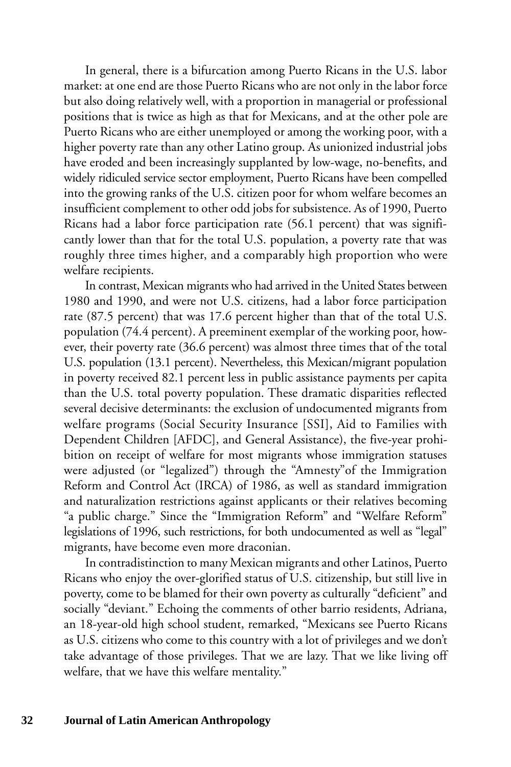In general, there is a bifurcation among Puerto Ricans in the U.S. labor market: at one end are those Puerto Ricans who are not only in the labor force but also doing relatively well, with a proportion in managerial or professional positions that is twice as high as that for Mexicans, and at the other pole are Puerto Ricans who are either unemployed or among the working poor, with a higher poverty rate than any other Latino group. As unionized industrial jobs have eroded and been increasingly supplanted by low-wage, no-benefits, and widely ridiculed service sector employment, Puerto Ricans have been compelled into the growing ranks of the U.S. citizen poor for whom welfare becomes an insufficient complement to other odd jobs for subsistence. As of 1990, Puerto Ricans had a labor force participation rate (56.1 percent) that was significantly lower than that for the total U.S. population, a poverty rate that was roughly three times higher, and a comparably high proportion who were welfare recipients.

In contrast, Mexican migrants who had arrived in the United States between 1980 and 1990, and were not U.S. citizens, had a labor force participation rate (87.5 percent) that was 17.6 percent higher than that of the total U.S. population (74.4 percent). A preeminent exemplar of the working poor, however, their poverty rate (36.6 percent) was almost three times that of the total U.S. population (13.1 percent). Nevertheless, this Mexican/migrant population in poverty received 82.1 percent less in public assistance payments per capita than the U.S. total poverty population. These dramatic disparities reflected several decisive determinants: the exclusion of undocumented migrants from welfare programs (Social Security Insurance [SSI], Aid to Families with Dependent Children [AFDC], and General Assistance), the five-year prohibition on receipt of welfare for most migrants whose immigration statuses were adjusted (or "legalized") through the "Amnesty"of the Immigration Reform and Control Act (IRCA) of 1986, as well as standard immigration and naturalization restrictions against applicants or their relatives becoming "a public charge." Since the "Immigration Reform" and "Welfare Reform" legislations of 1996, such restrictions, for both undocumented as well as "legal" migrants, have become even more draconian.

In contradistinction to many Mexican migrants and other Latinos, Puerto Ricans who enjoy the over-glorified status of U.S. citizenship, but still live in poverty, come to be blamed for their own poverty as culturally "deficient" and socially "deviant." Echoing the comments of other barrio residents, Adriana, an 18-year-old high school student, remarked, "Mexicans see Puerto Ricans as U.S. citizens who come to this country with a lot of privileges and we don't take advantage of those privileges. That we are lazy. That we like living off welfare, that we have this welfare mentality."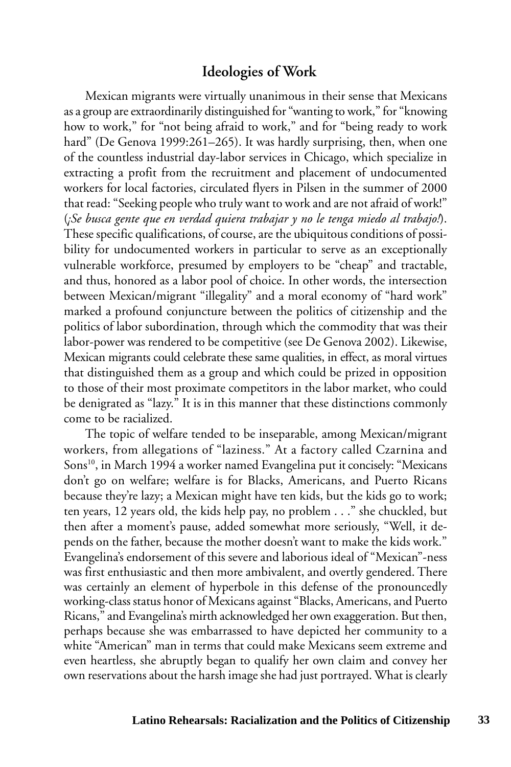#### **Ideologies of Work**

Mexican migrants were virtually unanimous in their sense that Mexicans as a group are extraordinarily distinguished for "wanting to work," for "knowing how to work," for "not being afraid to work," and for "being ready to work hard" (De Genova 1999:261–265). It was hardly surprising, then, when one of the countless industrial day-labor services in Chicago, which specialize in extracting a profit from the recruitment and placement of undocumented workers for local factories, circulated flyers in Pilsen in the summer of 2000 that read: "Seeking people who truly want to work and are not afraid of work!" (*¡Se busca gente que en verdad quiera trabajar y no le tenga miedo al trabajo!*). These specific qualifications, of course, are the ubiquitous conditions of possibility for undocumented workers in particular to serve as an exceptionally vulnerable workforce, presumed by employers to be "cheap" and tractable, and thus, honored as a labor pool of choice. In other words, the intersection between Mexican/migrant "illegality" and a moral economy of "hard work" marked a profound conjuncture between the politics of citizenship and the politics of labor subordination, through which the commodity that was their labor-power was rendered to be competitive (see De Genova 2002). Likewise, Mexican migrants could celebrate these same qualities, in effect, as moral virtues that distinguished them as a group and which could be prized in opposition to those of their most proximate competitors in the labor market, who could be denigrated as "lazy." It is in this manner that these distinctions commonly come to be racialized.

The topic of welfare tended to be inseparable, among Mexican/migrant workers, from allegations of "laziness." At a factory called Czarnina and Sons<sup>10</sup>, in March 1994 a worker named Evangelina put it concisely: "Mexicans don't go on welfare; welfare is for Blacks, Americans, and Puerto Ricans because they're lazy; a Mexican might have ten kids, but the kids go to work; ten years, 12 years old, the kids help pay, no problem . . ." she chuckled, but then after a moment's pause, added somewhat more seriously, "Well, it depends on the father, because the mother doesn't want to make the kids work." Evangelina's endorsement of this severe and laborious ideal of "Mexican"-ness was first enthusiastic and then more ambivalent, and overtly gendered. There was certainly an element of hyperbole in this defense of the pronouncedly working-class status honor of Mexicans against "Blacks, Americans, and Puerto Ricans," and Evangelina's mirth acknowledged her own exaggeration. But then, perhaps because she was embarrassed to have depicted her community to a white "American" man in terms that could make Mexicans seem extreme and even heartless, she abruptly began to qualify her own claim and convey her own reservations about the harsh image she had just portrayed. What is clearly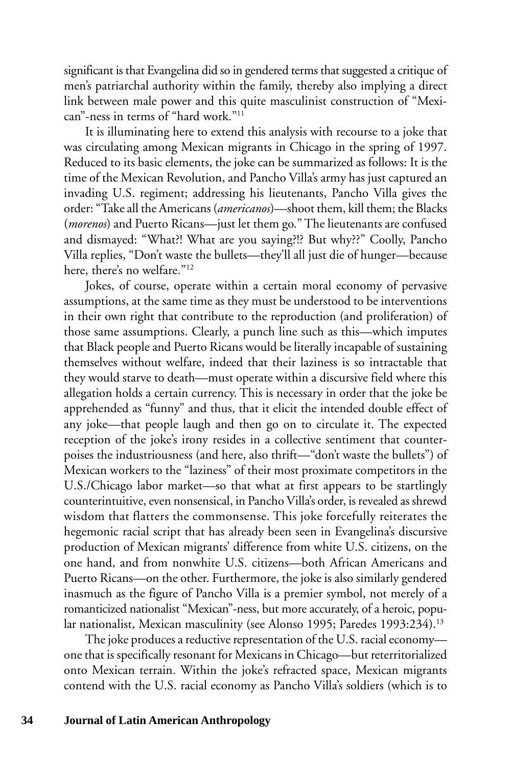significant is that Evangelina did so in gendered terms that suggested a critique of men's patriarchal authority within the family, thereby also implying a direct link between male power and this quite masculinist construction of "Mexican"-ness in terms of "hard work."11

It is illuminating here to extend this analysis with recourse to a joke that was circulating among Mexican migrants in Chicago in the spring of 1997. Reduced to its basic elements, the joke can be summarized as follows: It is the time of the Mexican Revolution, and Pancho Villa's army has just captured an invading U.S. regiment; addressing his lieutenants, Pancho Villa gives the order: "Take all the Americans (*americanos*)—shoot them, kill them; the Blacks (*morenos*) and Puerto Ricans—just let them go." The lieutenants are confused and dismayed: "What?! What are you saying?!? But why??" Coolly, Pancho Villa replies, "Don't waste the bullets—they'll all just die of hunger—because here, there's no welfare."12

Jokes, of course, operate within a certain moral economy of pervasive assumptions, at the same time as they must be understood to be interventions in their own right that contribute to the reproduction (and proliferation) of those same assumptions. Clearly, a punch line such as this—which imputes that Black people and Puerto Ricans would be literally incapable of sustaining themselves without welfare, indeed that their laziness is so intractable that they would starve to death—must operate within a discursive field where this allegation holds a certain currency. This is necessary in order that the joke be apprehended as "funny" and thus, that it elicit the intended double effect of any joke—that people laugh and then go on to circulate it. The expected reception of the joke's irony resides in a collective sentiment that counterpoises the industriousness (and here, also thrift—"don't waste the bullets") of Mexican workers to the "laziness" of their most proximate competitors in the U.S./Chicago labor market—so that what at first appears to be startlingly counterintuitive, even nonsensical, in Pancho Villa's order, is revealed as shrewd wisdom that flatters the commonsense. This joke forcefully reiterates the hegemonic racial script that has already been seen in Evangelina's discursive production of Mexican migrants' difference from white U.S. citizens, on the one hand, and from nonwhite U.S. citizens—both African Americans and Puerto Ricans—on the other. Furthermore, the joke is also similarly gendered inasmuch as the figure of Pancho Villa is a premier symbol, not merely of a romanticized nationalist "Mexican"-ness, but more accurately, of a heroic, popular nationalist, Mexican masculinity (see Alonso 1995; Paredes 1993:234).<sup>13</sup>

The joke produces a reductive representation of the U.S. racial economy one that is specifically resonant for Mexicans in Chicago—but reterritorialized onto Mexican terrain. Within the joke's refracted space, Mexican migrants contend with the U.S. racial economy as Pancho Villa's soldiers (which is to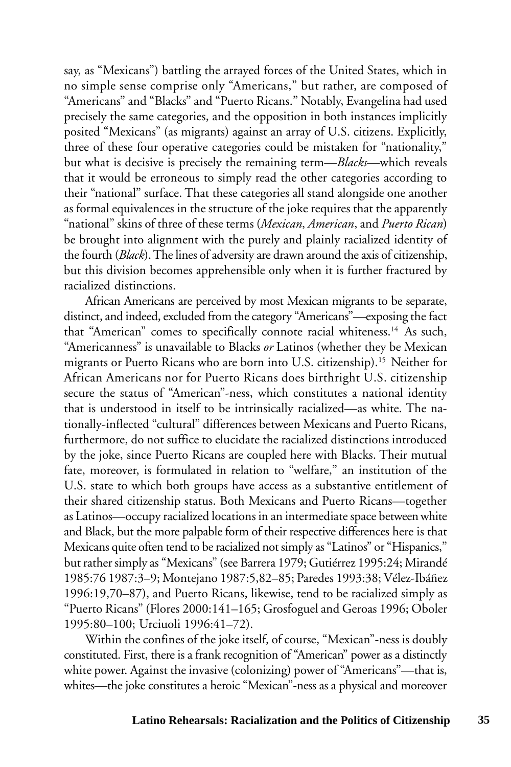say, as "Mexicans") battling the arrayed forces of the United States, which in no simple sense comprise only "Americans," but rather, are composed of "Americans" and "Blacks" and "Puerto Ricans." Notably, Evangelina had used precisely the same categories, and the opposition in both instances implicitly posited "Mexicans" (as migrants) against an array of U.S. citizens. Explicitly, three of these four operative categories could be mistaken for "nationality," but what is decisive is precisely the remaining term—*Blacks*—which reveals that it would be erroneous to simply read the other categories according to their "national" surface. That these categories all stand alongside one another as formal equivalences in the structure of the joke requires that the apparently "national" skins of three of these terms (*Mexican*, *American*, and *Puerto Rican*) be brought into alignment with the purely and plainly racialized identity of the fourth (*Black*). The lines of adversity are drawn around the axis of citizenship, but this division becomes apprehensible only when it is further fractured by racialized distinctions.

African Americans are perceived by most Mexican migrants to be separate, distinct, and indeed, excluded from the category "Americans"—exposing the fact that "American" comes to specifically connote racial whiteness.14 As such, "Americanness" is unavailable to Blacks *or* Latinos (whether they be Mexican migrants or Puerto Ricans who are born into U.S. citizenship).15 Neither for African Americans nor for Puerto Ricans does birthright U.S. citizenship secure the status of "American"-ness, which constitutes a national identity that is understood in itself to be intrinsically racialized—as white. The nationally-inflected "cultural" differences between Mexicans and Puerto Ricans, furthermore, do not suffice to elucidate the racialized distinctions introduced by the joke, since Puerto Ricans are coupled here with Blacks. Their mutual fate, moreover, is formulated in relation to "welfare," an institution of the U.S. state to which both groups have access as a substantive entitlement of their shared citizenship status. Both Mexicans and Puerto Ricans—together as Latinos—occupy racialized locations in an intermediate space between white and Black, but the more palpable form of their respective differences here is that Mexicans quite often tend to be racialized not simply as "Latinos" or "Hispanics," but rather simply as "Mexicans" (see Barrera 1979; Gutiérrez 1995:24; Mirandé 1985:76 1987:3–9; Montejano 1987:5,82–85; Paredes 1993:38; Vélez-Ibáñez 1996:19,70–87), and Puerto Ricans, likewise, tend to be racialized simply as "Puerto Ricans" (Flores 2000:141–165; Grosfoguel and Geroas 1996; Oboler 1995:80–100; Urciuoli 1996:41–72).

Within the confines of the joke itself, of course, "Mexican"-ness is doubly constituted. First, there is a frank recognition of "American" power as a distinctly white power. Against the invasive (colonizing) power of "Americans"—that is, whites—the joke constitutes a heroic "Mexican"-ness as a physical and moreover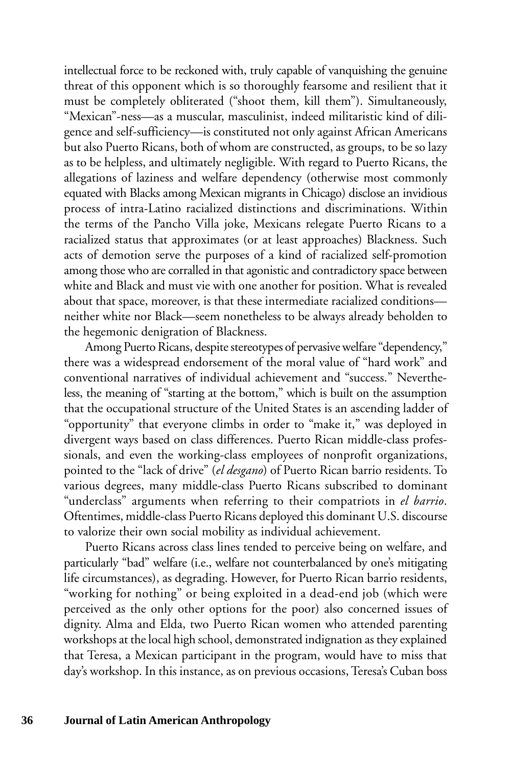intellectual force to be reckoned with, truly capable of vanquishing the genuine threat of this opponent which is so thoroughly fearsome and resilient that it must be completely obliterated ("shoot them, kill them"). Simultaneously, "Mexican"-ness—as a muscular, masculinist, indeed militaristic kind of diligence and self-sufficiency—is constituted not only against African Americans but also Puerto Ricans, both of whom are constructed, as groups, to be so lazy as to be helpless, and ultimately negligible. With regard to Puerto Ricans, the allegations of laziness and welfare dependency (otherwise most commonly equated with Blacks among Mexican migrants in Chicago) disclose an invidious process of intra-Latino racialized distinctions and discriminations. Within the terms of the Pancho Villa joke, Mexicans relegate Puerto Ricans to a racialized status that approximates (or at least approaches) Blackness. Such acts of demotion serve the purposes of a kind of racialized self-promotion among those who are corralled in that agonistic and contradictory space between white and Black and must vie with one another for position. What is revealed about that space, moreover, is that these intermediate racialized conditions neither white nor Black—seem nonetheless to be always already beholden to the hegemonic denigration of Blackness.

Among Puerto Ricans, despite stereotypes of pervasive welfare "dependency," there was a widespread endorsement of the moral value of "hard work" and conventional narratives of individual achievement and "success." Nevertheless, the meaning of "starting at the bottom," which is built on the assumption that the occupational structure of the United States is an ascending ladder of "opportunity" that everyone climbs in order to "make it," was deployed in divergent ways based on class differences. Puerto Rican middle-class professionals, and even the working-class employees of nonprofit organizations, pointed to the "lack of drive" (*el desgano*) of Puerto Rican barrio residents. To various degrees, many middle-class Puerto Ricans subscribed to dominant "underclass" arguments when referring to their compatriots in *el barrio*. Oftentimes, middle-class Puerto Ricans deployed this dominant U.S. discourse to valorize their own social mobility as individual achievement.

Puerto Ricans across class lines tended to perceive being on welfare, and particularly "bad" welfare (i.e., welfare not counterbalanced by one's mitigating life circumstances), as degrading. However, for Puerto Rican barrio residents, "working for nothing" or being exploited in a dead-end job (which were perceived as the only other options for the poor) also concerned issues of dignity. Alma and Elda, two Puerto Rican women who attended parenting workshops at the local high school, demonstrated indignation as they explained that Teresa, a Mexican participant in the program, would have to miss that day's workshop. In this instance, as on previous occasions, Teresa's Cuban boss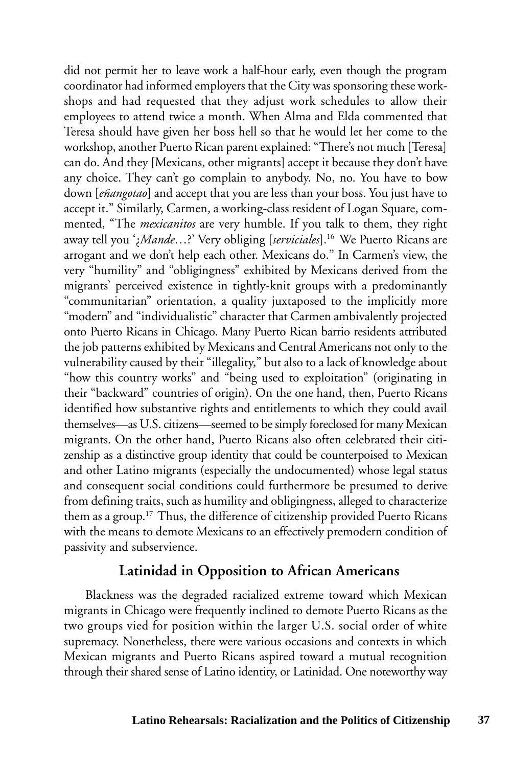did not permit her to leave work a half-hour early, even though the program coordinator had informed employers that the City was sponsoring these workshops and had requested that they adjust work schedules to allow their employees to attend twice a month. When Alma and Elda commented that Teresa should have given her boss hell so that he would let her come to the workshop, another Puerto Rican parent explained: "There's not much [Teresa] can do. And they [Mexicans, other migrants] accept it because they don't have any choice. They can't go complain to anybody. No, no. You have to bow down [*eñangotao*] and accept that you are less than your boss. You just have to accept it." Similarly, Carmen, a working-class resident of Logan Square, commented, "The *mexicanitos* are very humble. If you talk to them, they right away tell you '¿*Mande*…?' Very obliging [*serviciales*].16 We Puerto Ricans are arrogant and we don't help each other. Mexicans do." In Carmen's view, the very "humility" and "obligingness" exhibited by Mexicans derived from the migrants' perceived existence in tightly-knit groups with a predominantly "communitarian" orientation, a quality juxtaposed to the implicitly more "modern" and "individualistic" character that Carmen ambivalently projected onto Puerto Ricans in Chicago. Many Puerto Rican barrio residents attributed the job patterns exhibited by Mexicans and Central Americans not only to the vulnerability caused by their "illegality," but also to a lack of knowledge about "how this country works" and "being used to exploitation" (originating in their "backward" countries of origin). On the one hand, then, Puerto Ricans identified how substantive rights and entitlements to which they could avail themselves—as U.S. citizens—seemed to be simply foreclosed for many Mexican migrants. On the other hand, Puerto Ricans also often celebrated their citizenship as a distinctive group identity that could be counterpoised to Mexican and other Latino migrants (especially the undocumented) whose legal status and consequent social conditions could furthermore be presumed to derive from defining traits, such as humility and obligingness, alleged to characterize them as a group.17 Thus, the difference of citizenship provided Puerto Ricans with the means to demote Mexicans to an effectively premodern condition of passivity and subservience.

#### **Latinidad in Opposition to African Americans**

Blackness was the degraded racialized extreme toward which Mexican migrants in Chicago were frequently inclined to demote Puerto Ricans as the two groups vied for position within the larger U.S. social order of white supremacy. Nonetheless, there were various occasions and contexts in which Mexican migrants and Puerto Ricans aspired toward a mutual recognition through their shared sense of Latino identity, or Latinidad. One noteworthy way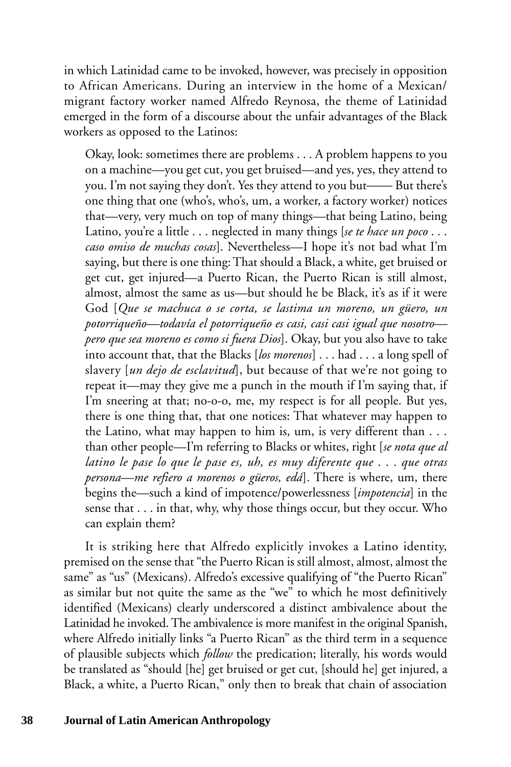in which Latinidad came to be invoked, however, was precisely in opposition to African Americans. During an interview in the home of a Mexican/ migrant factory worker named Alfredo Reynosa, the theme of Latinidad emerged in the form of a discourse about the unfair advantages of the Black workers as opposed to the Latinos:

Okay, look: sometimes there are problems . . . A problem happens to you on a machine—you get cut, you get bruised—and yes, yes, they attend to you. I'm not saying they don't. Yes they attend to you but—— But there's one thing that one (who's, who's, um, a worker, a factory worker) notices that—very, very much on top of many things—that being Latino, being Latino, you're a little . . . neglected in many things [*se te hace un poco* . . . *caso omiso de muchas cosas*]. Nevertheless—I hope it's not bad what I'm saying, but there is one thing: That should a Black, a white, get bruised or get cut, get injured—a Puerto Rican, the Puerto Rican is still almost, almost, almost the same as us—but should he be Black, it's as if it were God [*Que se machuca o se corta, se lastima un moreno, un güero, un potorriqueño—todavía el potorriqueño es casi, casi casi igual que nosotro pero que sea moreno es como si fuera Dios*]. Okay, but you also have to take into account that, that the Blacks [*los morenos*] . . . had . . . a long spell of slavery [*un dejo de esclavitud*], but because of that we're not going to repeat it—may they give me a punch in the mouth if I'm saying that, if I'm sneering at that; no-o-o, me, my respect is for all people. But yes, there is one thing that, that one notices: That whatever may happen to the Latino, what may happen to him is, um, is very different than . . . than other people—I'm referring to Blacks or whites, right [*se nota que al latino le pase lo que le pase es, uh, es muy diferente que* . . . *que otras persona*—*me refiero a morenos o güeros, edá*]. There is where, um, there begins the—such a kind of impotence/powerlessness [*impotencia*] in the sense that . . . in that, why, why those things occur, but they occur. Who can explain them?

It is striking here that Alfredo explicitly invokes a Latino identity, premised on the sense that "the Puerto Rican is still almost, almost, almost the same" as "us" (Mexicans). Alfredo's excessive qualifying of "the Puerto Rican" as similar but not quite the same as the "we" to which he most definitively identified (Mexicans) clearly underscored a distinct ambivalence about the Latinidad he invoked. The ambivalence is more manifest in the original Spanish, where Alfredo initially links "a Puerto Rican" as the third term in a sequence of plausible subjects which *follow* the predication; literally, his words would be translated as "should [he] get bruised or get cut, [should he] get injured, a Black, a white, a Puerto Rican," only then to break that chain of association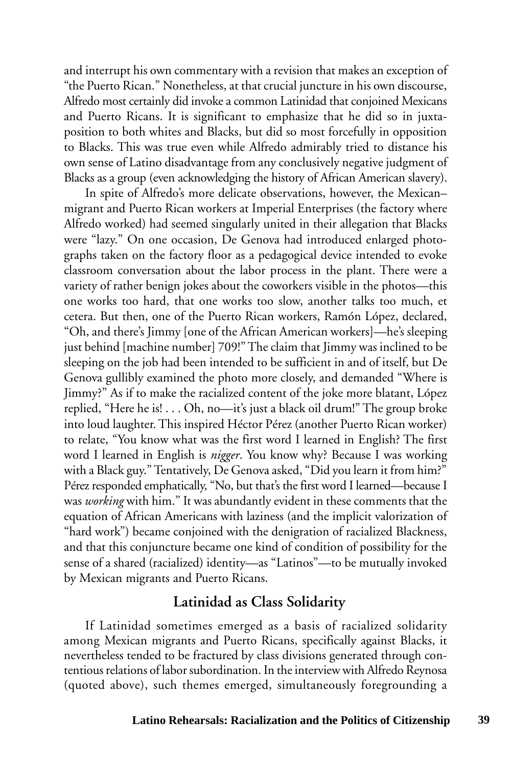and interrupt his own commentary with a revision that makes an exception of "the Puerto Rican." Nonetheless, at that crucial juncture in his own discourse, Alfredo most certainly did invoke a common Latinidad that conjoined Mexicans and Puerto Ricans. It is significant to emphasize that he did so in juxtaposition to both whites and Blacks, but did so most forcefully in opposition to Blacks. This was true even while Alfredo admirably tried to distance his own sense of Latino disadvantage from any conclusively negative judgment of Blacks as a group (even acknowledging the history of African American slavery).

In spite of Alfredo's more delicate observations, however, the Mexican– migrant and Puerto Rican workers at Imperial Enterprises (the factory where Alfredo worked) had seemed singularly united in their allegation that Blacks were "lazy." On one occasion, De Genova had introduced enlarged photographs taken on the factory floor as a pedagogical device intended to evoke classroom conversation about the labor process in the plant. There were a variety of rather benign jokes about the coworkers visible in the photos—this one works too hard, that one works too slow, another talks too much, et cetera. But then, one of the Puerto Rican workers, Ramón López, declared, "Oh, and there's Jimmy [one of the African American workers]—he's sleeping just behind [machine number] 709!" The claim that Jimmy was inclined to be sleeping on the job had been intended to be sufficient in and of itself, but De Genova gullibly examined the photo more closely, and demanded "Where is Jimmy?" As if to make the racialized content of the joke more blatant, López replied, "Here he is! . . . Oh, no—it's just a black oil drum!" The group broke into loud laughter. This inspired Héctor Pérez (another Puerto Rican worker) to relate, "You know what was the first word I learned in English? The first word I learned in English is *nigger*. You know why? Because I was working with a Black guy." Tentatively, De Genova asked, "Did you learn it from him?" Pérez responded emphatically, "No, but that's the first word I learned—because I was *working* with him." It was abundantly evident in these comments that the equation of African Americans with laziness (and the implicit valorization of "hard work") became conjoined with the denigration of racialized Blackness, and that this conjuncture became one kind of condition of possibility for the sense of a shared (racialized) identity—as "Latinos"—to be mutually invoked by Mexican migrants and Puerto Ricans.

### **Latinidad as Class Solidarity**

If Latinidad sometimes emerged as a basis of racialized solidarity among Mexican migrants and Puerto Ricans, specifically against Blacks, it nevertheless tended to be fractured by class divisions generated through contentious relations of labor subordination. In the interview with Alfredo Reynosa (quoted above), such themes emerged, simultaneously foregrounding a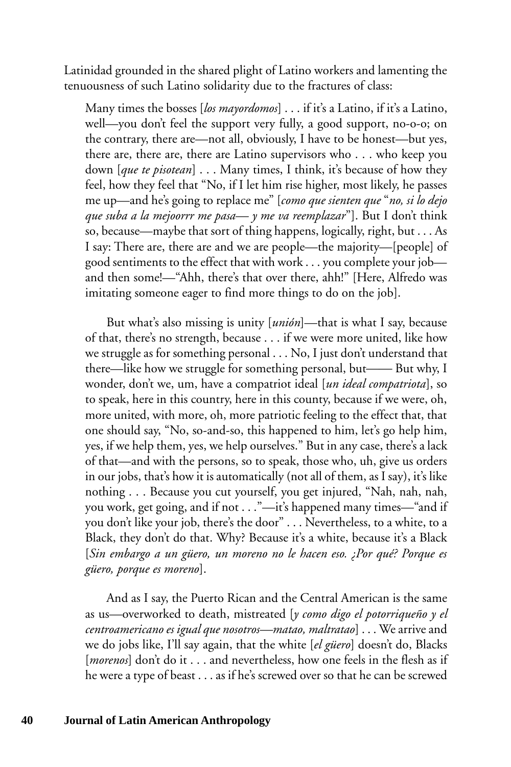Latinidad grounded in the shared plight of Latino workers and lamenting the tenuousness of such Latino solidarity due to the fractures of class:

Many times the bosses [*los mayordomos*] . . . if it's a Latino, if it's a Latino, well—you don't feel the support very fully, a good support, no-o-o; on the contrary, there are—not all, obviously, I have to be honest—but yes, there are, there are, there are Latino supervisors who . . . who keep you down [*que te pisotean*] . . . Many times, I think, it's because of how they feel, how they feel that "No, if I let him rise higher, most likely, he passes me up—and he's going to replace me" [*como que sienten que* "*no, si lo dejo que suba a la mejoorrr me pasa— y me va reemplazar*"]. But I don't think so, because—maybe that sort of thing happens, logically, right, but . . . As I say: There are, there are and we are people—the majority—[people] of good sentiments to the effect that with work . . . you complete your job and then some!—"Ahh, there's that over there, ahh!" [Here, Alfredo was imitating someone eager to find more things to do on the job].

But what's also missing is unity [*unión*]—that is what I say, because of that, there's no strength, because . . . if we were more united, like how we struggle as for something personal . . . No, I just don't understand that there—like how we struggle for something personal, but—— But why, I wonder, don't we, um, have a compatriot ideal [*un ideal compatriota*], so to speak, here in this country, here in this county, because if we were, oh, more united, with more, oh, more patriotic feeling to the effect that, that one should say, "No, so-and-so, this happened to him, let's go help him, yes, if we help them, yes, we help ourselves." But in any case, there's a lack of that—and with the persons, so to speak, those who, uh, give us orders in our jobs, that's how it is automatically (not all of them, as I say), it's like nothing . . . Because you cut yourself, you get injured, "Nah, nah, nah, you work, get going, and if not . . ."—it's happened many times—"and if you don't like your job, there's the door" . . . Nevertheless, to a white, to a Black, they don't do that. Why? Because it's a white, because it's a Black [*Sin embargo a un güero, un moreno no le hacen eso. ¿Por qué? Porque es güero, porque es moreno*].

And as I say, the Puerto Rican and the Central American is the same as us—overworked to death, mistreated [*y como digo el potorriqueño y el centroamericano es igual que nosotros—matao, maltratao*] . . . We arrive and we do jobs like, I'll say again, that the white [*el güero*] doesn't do, Blacks [*morenos*] don't do it . . . and nevertheless, how one feels in the flesh as if he were a type of beast . . . as if he's screwed over so that he can be screwed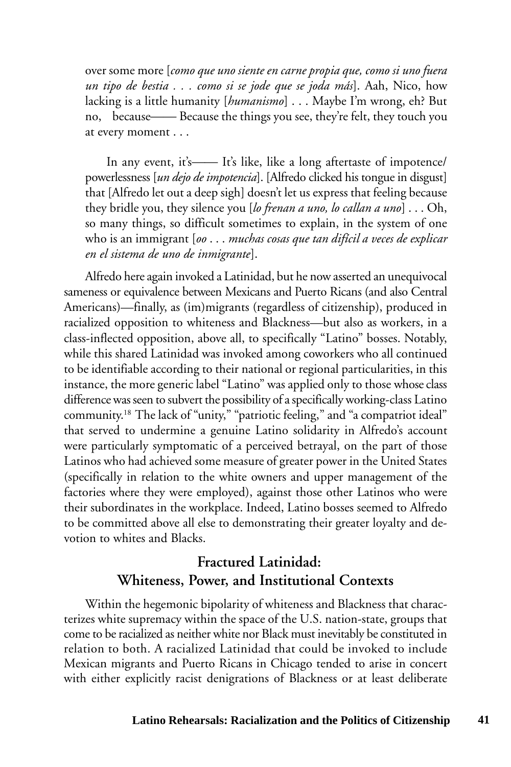over some more [*como que uno siente en carne propia que, como si uno fuera un tipo de bestia . . . como si se jode que se joda más*]. Aah, Nico, how lacking is a little humanity [*humanismo*] . . . Maybe I'm wrong, eh? But no, because—— Because the things you see, they're felt, they touch you at every moment . . .

In any event, it's—— It's like, like a long aftertaste of impotence/ powerlessness [*un dejo de impotencia*]. [Alfredo clicked his tongue in disgust] that [Alfredo let out a deep sigh] doesn't let us express that feeling because they bridle you, they silence you [*lo frenan a uno, lo callan a uno*] . . . Oh, so many things, so difficult sometimes to explain, in the system of one who is an immigrant [*oo* . . . *muchas cosas que tan difícil a veces de explicar en el sistema de uno de inmigrante*].

Alfredo here again invoked a Latinidad, but he now asserted an unequivocal sameness or equivalence between Mexicans and Puerto Ricans (and also Central Americans)—finally, as (im)migrants (regardless of citizenship), produced in racialized opposition to whiteness and Blackness—but also as workers, in a class-inflected opposition, above all, to specifically "Latino" bosses. Notably, while this shared Latinidad was invoked among coworkers who all continued to be identifiable according to their national or regional particularities, in this instance, the more generic label "Latino" was applied only to those whose class difference was seen to subvert the possibility of a specifically working-class Latino community.18 The lack of "unity," "patriotic feeling," and "a compatriot ideal" that served to undermine a genuine Latino solidarity in Alfredo's account were particularly symptomatic of a perceived betrayal, on the part of those Latinos who had achieved some measure of greater power in the United States (specifically in relation to the white owners and upper management of the factories where they were employed), against those other Latinos who were their subordinates in the workplace. Indeed, Latino bosses seemed to Alfredo to be committed above all else to demonstrating their greater loyalty and devotion to whites and Blacks.

### **Fractured Latinidad: Whiteness, Power, and Institutional Contexts**

Within the hegemonic bipolarity of whiteness and Blackness that characterizes white supremacy within the space of the U.S. nation-state, groups that come to be racialized as neither white nor Black must inevitably be constituted in relation to both. A racialized Latinidad that could be invoked to include Mexican migrants and Puerto Ricans in Chicago tended to arise in concert with either explicitly racist denigrations of Blackness or at least deliberate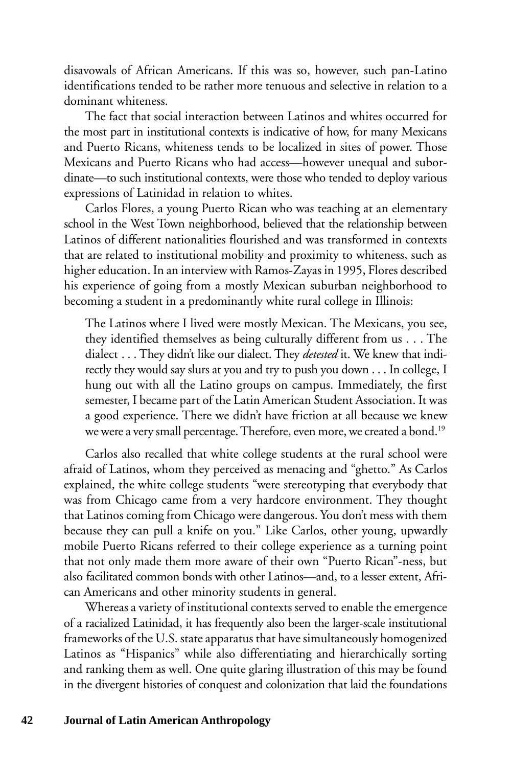disavowals of African Americans. If this was so, however, such pan-Latino identifications tended to be rather more tenuous and selective in relation to a dominant whiteness.

The fact that social interaction between Latinos and whites occurred for the most part in institutional contexts is indicative of how, for many Mexicans and Puerto Ricans, whiteness tends to be localized in sites of power. Those Mexicans and Puerto Ricans who had access—however unequal and subordinate—to such institutional contexts, were those who tended to deploy various expressions of Latinidad in relation to whites.

Carlos Flores, a young Puerto Rican who was teaching at an elementary school in the West Town neighborhood, believed that the relationship between Latinos of different nationalities flourished and was transformed in contexts that are related to institutional mobility and proximity to whiteness, such as higher education. In an interview with Ramos-Zayas in 1995, Flores described his experience of going from a mostly Mexican suburban neighborhood to becoming a student in a predominantly white rural college in Illinois:

The Latinos where I lived were mostly Mexican. The Mexicans, you see, they identified themselves as being culturally different from us . . . The dialect . . . They didn't like our dialect. They *detested* it. We knew that indirectly they would say slurs at you and try to push you down . . . In college, I hung out with all the Latino groups on campus. Immediately, the first semester, I became part of the Latin American Student Association. It was a good experience. There we didn't have friction at all because we knew we were a very small percentage. Therefore, even more, we created a bond.<sup>19</sup>

Carlos also recalled that white college students at the rural school were afraid of Latinos, whom they perceived as menacing and "ghetto." As Carlos explained, the white college students "were stereotyping that everybody that was from Chicago came from a very hardcore environment. They thought that Latinos coming from Chicago were dangerous. You don't mess with them because they can pull a knife on you." Like Carlos, other young, upwardly mobile Puerto Ricans referred to their college experience as a turning point that not only made them more aware of their own "Puerto Rican"-ness, but also facilitated common bonds with other Latinos—and, to a lesser extent, African Americans and other minority students in general.

Whereas a variety of institutional contexts served to enable the emergence of a racialized Latinidad, it has frequently also been the larger-scale institutional frameworks of the U.S. state apparatus that have simultaneously homogenized Latinos as "Hispanics" while also differentiating and hierarchically sorting and ranking them as well. One quite glaring illustration of this may be found in the divergent histories of conquest and colonization that laid the foundations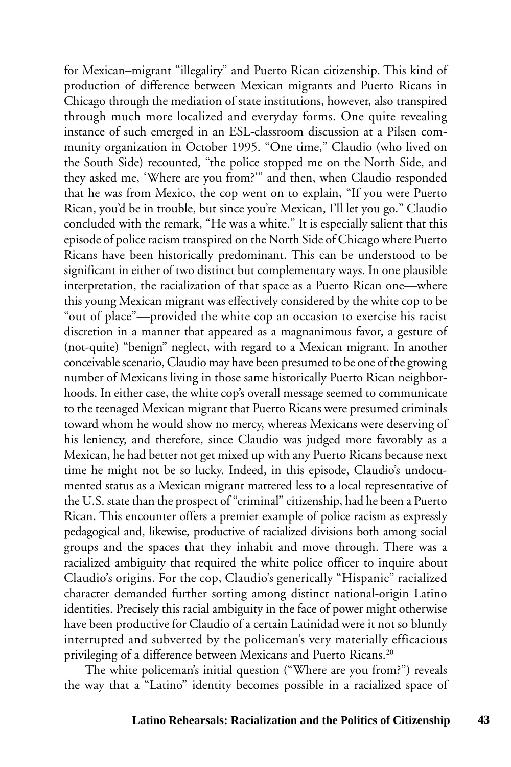for Mexican–migrant "illegality" and Puerto Rican citizenship. This kind of production of difference between Mexican migrants and Puerto Ricans in Chicago through the mediation of state institutions, however, also transpired through much more localized and everyday forms. One quite revealing instance of such emerged in an ESL-classroom discussion at a Pilsen community organization in October 1995. "One time," Claudio (who lived on the South Side) recounted, "the police stopped me on the North Side, and they asked me, 'Where are you from?'" and then, when Claudio responded that he was from Mexico, the cop went on to explain, "If you were Puerto Rican, you'd be in trouble, but since you're Mexican, I'll let you go." Claudio concluded with the remark, "He was a white." It is especially salient that this episode of police racism transpired on the North Side of Chicago where Puerto Ricans have been historically predominant. This can be understood to be significant in either of two distinct but complementary ways. In one plausible interpretation, the racialization of that space as a Puerto Rican one—where this young Mexican migrant was effectively considered by the white cop to be "out of place"—provided the white cop an occasion to exercise his racist discretion in a manner that appeared as a magnanimous favor, a gesture of (not-quite) "benign" neglect, with regard to a Mexican migrant. In another conceivable scenario, Claudio may have been presumed to be one of the growing number of Mexicans living in those same historically Puerto Rican neighborhoods. In either case, the white cop's overall message seemed to communicate to the teenaged Mexican migrant that Puerto Ricans were presumed criminals toward whom he would show no mercy, whereas Mexicans were deserving of his leniency, and therefore, since Claudio was judged more favorably as a Mexican, he had better not get mixed up with any Puerto Ricans because next time he might not be so lucky. Indeed, in this episode, Claudio's undocumented status as a Mexican migrant mattered less to a local representative of the U.S. state than the prospect of "criminal" citizenship, had he been a Puerto Rican. This encounter offers a premier example of police racism as expressly pedagogical and, likewise, productive of racialized divisions both among social groups and the spaces that they inhabit and move through. There was a racialized ambiguity that required the white police officer to inquire about Claudio's origins. For the cop, Claudio's generically "Hispanic" racialized character demanded further sorting among distinct national-origin Latino identities. Precisely this racial ambiguity in the face of power might otherwise have been productive for Claudio of a certain Latinidad were it not so bluntly interrupted and subverted by the policeman's very materially efficacious privileging of a difference between Mexicans and Puerto Ricans.<sup>20</sup>

The white policeman's initial question ("Where are you from?") reveals the way that a "Latino" identity becomes possible in a racialized space of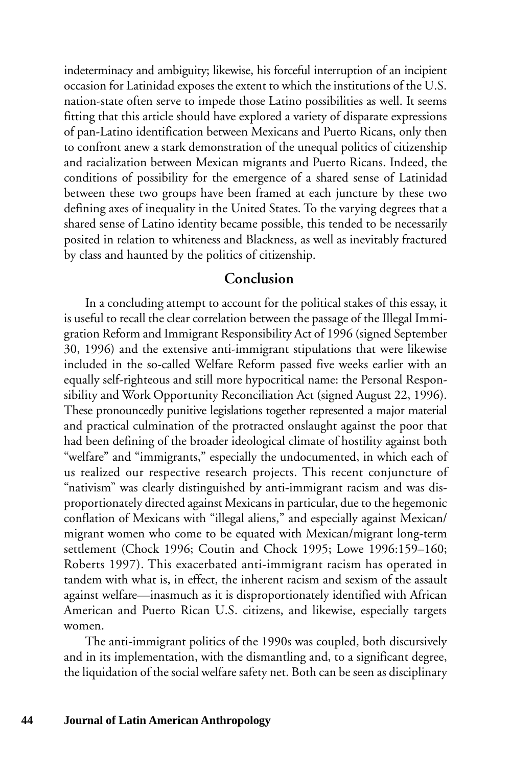indeterminacy and ambiguity; likewise, his forceful interruption of an incipient occasion for Latinidad exposes the extent to which the institutions of the U.S. nation-state often serve to impede those Latino possibilities as well. It seems fitting that this article should have explored a variety of disparate expressions of pan-Latino identification between Mexicans and Puerto Ricans, only then to confront anew a stark demonstration of the unequal politics of citizenship and racialization between Mexican migrants and Puerto Ricans. Indeed, the conditions of possibility for the emergence of a shared sense of Latinidad between these two groups have been framed at each juncture by these two defining axes of inequality in the United States. To the varying degrees that a shared sense of Latino identity became possible, this tended to be necessarily posited in relation to whiteness and Blackness, as well as inevitably fractured by class and haunted by the politics of citizenship.

#### **Conclusion**

In a concluding attempt to account for the political stakes of this essay, it is useful to recall the clear correlation between the passage of the Illegal Immigration Reform and Immigrant Responsibility Act of 1996 (signed September 30, 1996) and the extensive anti-immigrant stipulations that were likewise included in the so-called Welfare Reform passed five weeks earlier with an equally self-righteous and still more hypocritical name: the Personal Responsibility and Work Opportunity Reconciliation Act (signed August 22, 1996). These pronouncedly punitive legislations together represented a major material and practical culmination of the protracted onslaught against the poor that had been defining of the broader ideological climate of hostility against both "welfare" and "immigrants," especially the undocumented, in which each of us realized our respective research projects. This recent conjuncture of "nativism" was clearly distinguished by anti-immigrant racism and was disproportionately directed against Mexicans in particular, due to the hegemonic conflation of Mexicans with "illegal aliens," and especially against Mexican/ migrant women who come to be equated with Mexican/migrant long-term settlement (Chock 1996; Coutin and Chock 1995; Lowe 1996:159–160; Roberts 1997). This exacerbated anti-immigrant racism has operated in tandem with what is, in effect, the inherent racism and sexism of the assault against welfare—inasmuch as it is disproportionately identified with African American and Puerto Rican U.S. citizens, and likewise, especially targets women.

The anti-immigrant politics of the 1990s was coupled, both discursively and in its implementation, with the dismantling and, to a significant degree, the liquidation of the social welfare safety net. Both can be seen as disciplinary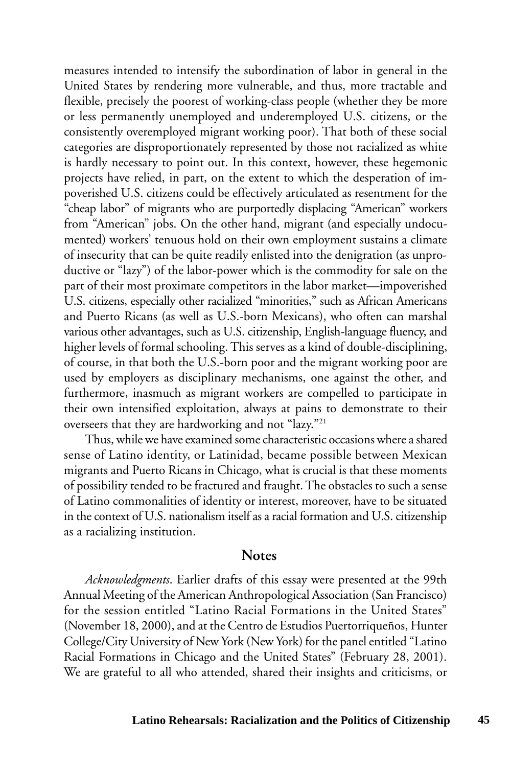measures intended to intensify the subordination of labor in general in the United States by rendering more vulnerable, and thus, more tractable and flexible, precisely the poorest of working-class people (whether they be more or less permanently unemployed and underemployed U.S. citizens, or the consistently overemployed migrant working poor). That both of these social categories are disproportionately represented by those not racialized as white is hardly necessary to point out. In this context, however, these hegemonic projects have relied, in part, on the extent to which the desperation of impoverished U.S. citizens could be effectively articulated as resentment for the "cheap labor" of migrants who are purportedly displacing "American" workers from "American" jobs. On the other hand, migrant (and especially undocumented) workers' tenuous hold on their own employment sustains a climate of insecurity that can be quite readily enlisted into the denigration (as unproductive or "lazy") of the labor-power which is the commodity for sale on the part of their most proximate competitors in the labor market—impoverished U.S. citizens, especially other racialized "minorities," such as African Americans and Puerto Ricans (as well as U.S.-born Mexicans), who often can marshal various other advantages, such as U.S. citizenship, English-language fluency, and higher levels of formal schooling. This serves as a kind of double-disciplining, of course, in that both the U.S.-born poor and the migrant working poor are used by employers as disciplinary mechanisms, one against the other, and furthermore, inasmuch as migrant workers are compelled to participate in their own intensified exploitation, always at pains to demonstrate to their overseers that they are hardworking and not "lazy."21

Thus, while we have examined some characteristic occasions where a shared sense of Latino identity, or Latinidad, became possible between Mexican migrants and Puerto Ricans in Chicago, what is crucial is that these moments of possibility tended to be fractured and fraught. The obstacles to such a sense of Latino commonalities of identity or interest, moreover, have to be situated in the context of U.S. nationalism itself as a racial formation and U.S. citizenship as a racializing institution.

#### **Notes**

*Acknowledgments*. Earlier drafts of this essay were presented at the 99th Annual Meeting of the American Anthropological Association (San Francisco) for the session entitled "Latino Racial Formations in the United States" (November 18, 2000), and at the Centro de Estudios Puertorriqueños, Hunter College/City University of New York (New York) for the panel entitled "Latino Racial Formations in Chicago and the United States" (February 28, 2001). We are grateful to all who attended, shared their insights and criticisms, or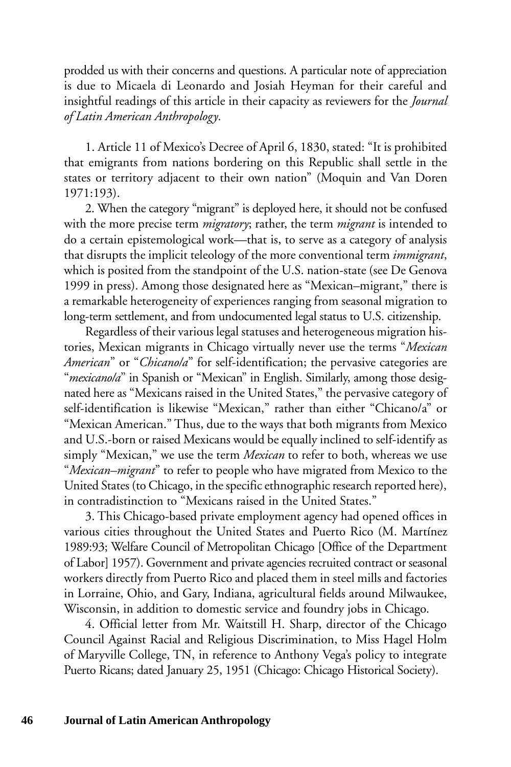prodded us with their concerns and questions. A particular note of appreciation is due to Micaela di Leonardo and Josiah Heyman for their careful and insightful readings of this article in their capacity as reviewers for the *Journal of Latin American Anthropology*.

1. Article 11 of Mexico's Decree of April 6, 1830, stated: "It is prohibited that emigrants from nations bordering on this Republic shall settle in the states or territory adjacent to their own nation" (Moquin and Van Doren 1971:193).

2. When the category "migrant" is deployed here, it should not be confused with the more precise term *migratory*; rather, the term *migrant* is intended to do a certain epistemological work—that is, to serve as a category of analysis that disrupts the implicit teleology of the more conventional term *immigrant*, which is posited from the standpoint of the U.S. nation-state (see De Genova 1999 in press). Among those designated here as "Mexican–migrant," there is a remarkable heterogeneity of experiences ranging from seasonal migration to long-term settlement, and from undocumented legal status to U.S. citizenship.

Regardless of their various legal statuses and heterogeneous migration histories, Mexican migrants in Chicago virtually never use the terms "*Mexican American*" or "*Chicano/a*" for self-identification; the pervasive categories are "*mexicano/a*" in Spanish or "Mexican" in English. Similarly, among those designated here as "Mexicans raised in the United States," the pervasive category of self-identification is likewise "Mexican," rather than either "Chicano/a" or "Mexican American." Thus, due to the ways that both migrants from Mexico and U.S.-born or raised Mexicans would be equally inclined to self-identify as simply "Mexican," we use the term *Mexican* to refer to both, whereas we use "*Mexican–migrant*" to refer to people who have migrated from Mexico to the United States (to Chicago, in the specific ethnographic research reported here), in contradistinction to "Mexicans raised in the United States."

3. This Chicago-based private employment agency had opened offices in various cities throughout the United States and Puerto Rico (M. Martínez 1989:93; Welfare Council of Metropolitan Chicago [Office of the Department of Labor] 1957). Government and private agencies recruited contract or seasonal workers directly from Puerto Rico and placed them in steel mills and factories in Lorraine, Ohio, and Gary, Indiana, agricultural fields around Milwaukee, Wisconsin, in addition to domestic service and foundry jobs in Chicago.

4. Official letter from Mr. Waitstill H. Sharp, director of the Chicago Council Against Racial and Religious Discrimination, to Miss Hagel Holm of Maryville College, TN, in reference to Anthony Vega's policy to integrate Puerto Ricans; dated January 25, 1951 (Chicago: Chicago Historical Society).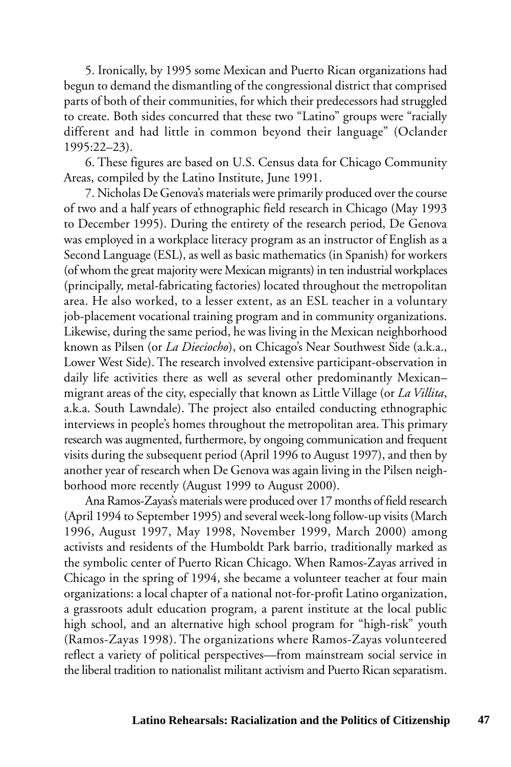5. Ironically, by 1995 some Mexican and Puerto Rican organizations had begun to demand the dismantling of the congressional district that comprised parts of both of their communities, for which their predecessors had struggled to create. Both sides concurred that these two "Latino" groups were "racially different and had little in common beyond their language" (Oclander 1995:22–23).

6. These figures are based on U.S. Census data for Chicago Community Areas, compiled by the Latino Institute, June 1991.

7. Nicholas De Genova's materials were primarily produced over the course of two and a half years of ethnographic field research in Chicago (May 1993 to December 1995). During the entirety of the research period, De Genova was employed in a workplace literacy program as an instructor of English as a Second Language (ESL), as well as basic mathematics (in Spanish) for workers (of whom the great majority were Mexican migrants) in ten industrial workplaces (principally, metal-fabricating factories) located throughout the metropolitan area. He also worked, to a lesser extent, as an ESL teacher in a voluntary job-placement vocational training program and in community organizations. Likewise, during the same period, he was living in the Mexican neighborhood known as Pilsen (or *La Dieciocho*), on Chicago's Near Southwest Side (a.k.a., Lower West Side). The research involved extensive participant-observation in daily life activities there as well as several other predominantly Mexican– migrant areas of the city, especially that known as Little Village (or *La Villita*, a.k.a. South Lawndale). The project also entailed conducting ethnographic interviews in people's homes throughout the metropolitan area. This primary research was augmented, furthermore, by ongoing communication and frequent visits during the subsequent period (April 1996 to August 1997), and then by another year of research when De Genova was again living in the Pilsen neighborhood more recently (August 1999 to August 2000).

Ana Ramos-Zayas's materials were produced over 17 months of field research (April 1994 to September 1995) and several week-long follow-up visits (March 1996, August 1997, May 1998, November 1999, March 2000) among activists and residents of the Humboldt Park barrio, traditionally marked as the symbolic center of Puerto Rican Chicago. When Ramos-Zayas arrived in Chicago in the spring of 1994, she became a volunteer teacher at four main organizations: a local chapter of a national not-for-profit Latino organization, a grassroots adult education program, a parent institute at the local public high school, and an alternative high school program for "high-risk" youth (Ramos-Zayas 1998). The organizations where Ramos-Zayas volunteered reflect a variety of political perspectives—from mainstream social service in the liberal tradition to nationalist militant activism and Puerto Rican separatism.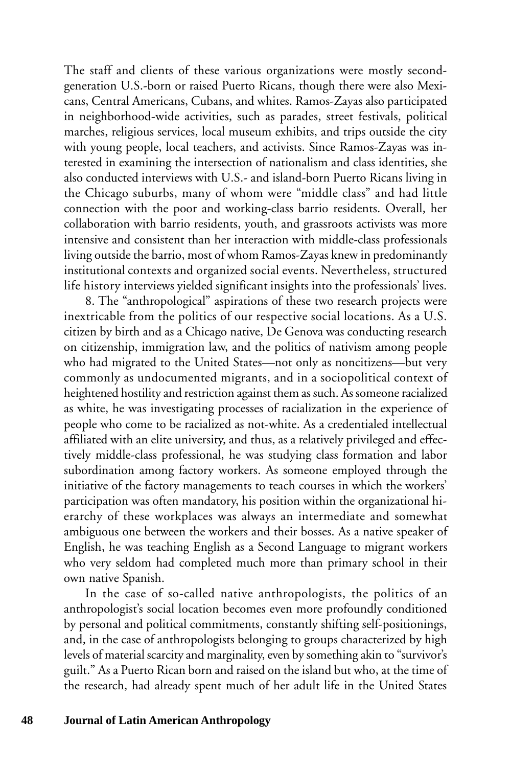The staff and clients of these various organizations were mostly secondgeneration U.S.-born or raised Puerto Ricans, though there were also Mexicans, Central Americans, Cubans, and whites. Ramos-Zayas also participated in neighborhood-wide activities, such as parades, street festivals, political marches, religious services, local museum exhibits, and trips outside the city with young people, local teachers, and activists. Since Ramos-Zayas was interested in examining the intersection of nationalism and class identities, she also conducted interviews with U.S.- and island-born Puerto Ricans living in the Chicago suburbs, many of whom were "middle class" and had little connection with the poor and working-class barrio residents. Overall, her collaboration with barrio residents, youth, and grassroots activists was more intensive and consistent than her interaction with middle-class professionals living outside the barrio, most of whom Ramos-Zayas knew in predominantly institutional contexts and organized social events. Nevertheless, structured life history interviews yielded significant insights into the professionals' lives.

8. The "anthropological" aspirations of these two research projects were inextricable from the politics of our respective social locations. As a U.S. citizen by birth and as a Chicago native, De Genova was conducting research on citizenship, immigration law, and the politics of nativism among people who had migrated to the United States—not only as noncitizens—but very commonly as undocumented migrants, and in a sociopolitical context of heightened hostility and restriction against them as such. As someone racialized as white, he was investigating processes of racialization in the experience of people who come to be racialized as not-white. As a credentialed intellectual affiliated with an elite university, and thus, as a relatively privileged and effectively middle-class professional, he was studying class formation and labor subordination among factory workers. As someone employed through the initiative of the factory managements to teach courses in which the workers' participation was often mandatory, his position within the organizational hierarchy of these workplaces was always an intermediate and somewhat ambiguous one between the workers and their bosses. As a native speaker of English, he was teaching English as a Second Language to migrant workers who very seldom had completed much more than primary school in their own native Spanish.

In the case of so-called native anthropologists, the politics of an anthropologist's social location becomes even more profoundly conditioned by personal and political commitments, constantly shifting self-positionings, and, in the case of anthropologists belonging to groups characterized by high levels of material scarcity and marginality, even by something akin to "survivor's guilt." As a Puerto Rican born and raised on the island but who, at the time of the research, had already spent much of her adult life in the United States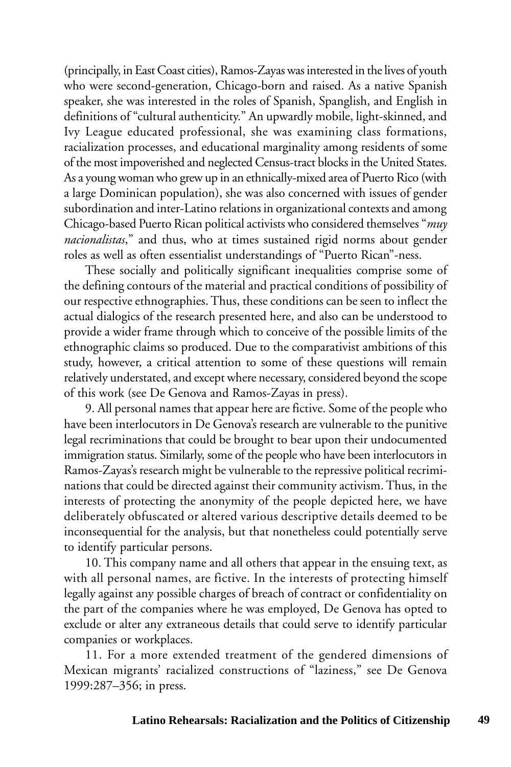(principally, in East Coast cities), Ramos-Zayas was interested in the lives of youth who were second-generation, Chicago-born and raised. As a native Spanish speaker, she was interested in the roles of Spanish, Spanglish, and English in definitions of "cultural authenticity." An upwardly mobile, light-skinned, and Ivy League educated professional, she was examining class formations, racialization processes, and educational marginality among residents of some of the most impoverished and neglected Census-tract blocks in the United States. As a young woman who grew up in an ethnically-mixed area of Puerto Rico (with a large Dominican population), she was also concerned with issues of gender subordination and inter-Latino relations in organizational contexts and among Chicago-based Puerto Rican political activists who considered themselves "*muy nacionalistas*," and thus, who at times sustained rigid norms about gender roles as well as often essentialist understandings of "Puerto Rican"-ness.

These socially and politically significant inequalities comprise some of the defining contours of the material and practical conditions of possibility of our respective ethnographies. Thus, these conditions can be seen to inflect the actual dialogics of the research presented here, and also can be understood to provide a wider frame through which to conceive of the possible limits of the ethnographic claims so produced. Due to the comparativist ambitions of this study, however, a critical attention to some of these questions will remain relatively understated, and except where necessary, considered beyond the scope of this work (see De Genova and Ramos-Zayas in press).

9. All personal names that appear here are fictive. Some of the people who have been interlocutors in De Genova's research are vulnerable to the punitive legal recriminations that could be brought to bear upon their undocumented immigration status. Similarly, some of the people who have been interlocutors in Ramos-Zayas's research might be vulnerable to the repressive political recriminations that could be directed against their community activism. Thus, in the interests of protecting the anonymity of the people depicted here, we have deliberately obfuscated or altered various descriptive details deemed to be inconsequential for the analysis, but that nonetheless could potentially serve to identify particular persons.

10. This company name and all others that appear in the ensuing text, as with all personal names, are fictive. In the interests of protecting himself legally against any possible charges of breach of contract or confidentiality on the part of the companies where he was employed, De Genova has opted to exclude or alter any extraneous details that could serve to identify particular companies or workplaces.

11. For a more extended treatment of the gendered dimensions of Mexican migrants' racialized constructions of "laziness," see De Genova 1999:287–356; in press.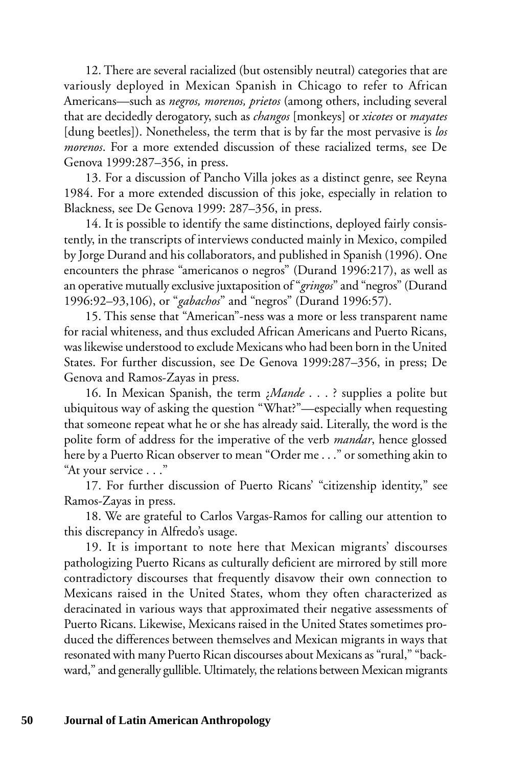12. There are several racialized (but ostensibly neutral) categories that are variously deployed in Mexican Spanish in Chicago to refer to African Americans—such as *negros, morenos, prietos* (among others, including several that are decidedly derogatory, such as *changos* [monkeys] or *xicotes* or *mayates* [dung beetles]). Nonetheless, the term that is by far the most pervasive is *los morenos*. For a more extended discussion of these racialized terms, see De Genova 1999:287–356, in press.

13. For a discussion of Pancho Villa jokes as a distinct genre, see Reyna 1984. For a more extended discussion of this joke, especially in relation to Blackness, see De Genova 1999: 287–356, in press.

14. It is possible to identify the same distinctions, deployed fairly consistently, in the transcripts of interviews conducted mainly in Mexico, compiled by Jorge Durand and his collaborators, and published in Spanish (1996). One encounters the phrase "americanos o negros" (Durand 1996:217), as well as an operative mutually exclusive juxtaposition of "*gringos*" and "negros" (Durand 1996:92–93,106), or "*gabachos*" and "negros" (Durand 1996:57).

15. This sense that "American"-ness was a more or less transparent name for racial whiteness, and thus excluded African Americans and Puerto Ricans, was likewise understood to exclude Mexicans who had been born in the United States. For further discussion, see De Genova 1999:287–356, in press; De Genova and Ramos-Zayas in press.

16. In Mexican Spanish, the term ¿*Mande* . . . ? supplies a polite but ubiquitous way of asking the question "What?"—especially when requesting that someone repeat what he or she has already said. Literally, the word is the polite form of address for the imperative of the verb *mandar*, hence glossed here by a Puerto Rican observer to mean "Order me . . ." or something akin to "At your service . . ."

17. For further discussion of Puerto Ricans' "citizenship identity," see Ramos-Zayas in press.

18. We are grateful to Carlos Vargas-Ramos for calling our attention to this discrepancy in Alfredo's usage.

19. It is important to note here that Mexican migrants' discourses pathologizing Puerto Ricans as culturally deficient are mirrored by still more contradictory discourses that frequently disavow their own connection to Mexicans raised in the United States, whom they often characterized as deracinated in various ways that approximated their negative assessments of Puerto Ricans. Likewise, Mexicans raised in the United States sometimes produced the differences between themselves and Mexican migrants in ways that resonated with many Puerto Rican discourses about Mexicans as "rural," "backward," and generally gullible. Ultimately, the relations between Mexican migrants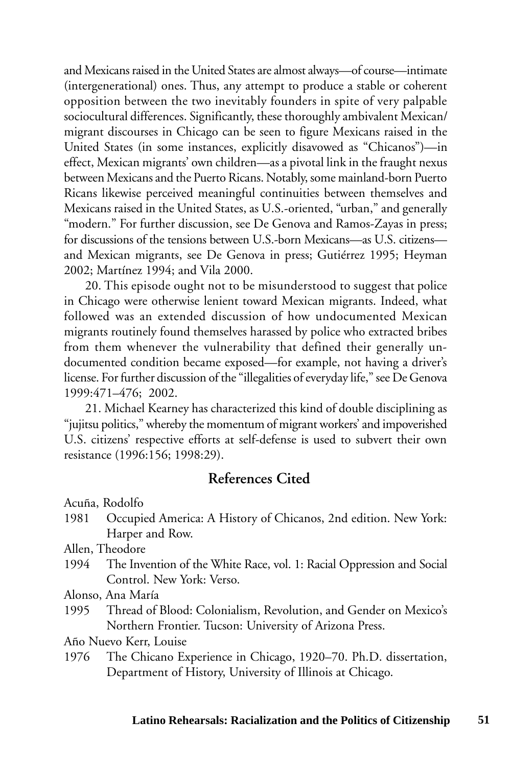and Mexicans raised in the United States are almost always—of course—intimate (intergenerational) ones. Thus, any attempt to produce a stable or coherent opposition between the two inevitably founders in spite of very palpable sociocultural differences. Significantly, these thoroughly ambivalent Mexican/ migrant discourses in Chicago can be seen to figure Mexicans raised in the United States (in some instances, explicitly disavowed as "Chicanos")—in effect, Mexican migrants' own children—as a pivotal link in the fraught nexus between Mexicans and the Puerto Ricans. Notably, some mainland-born Puerto Ricans likewise perceived meaningful continuities between themselves and Mexicans raised in the United States, as U.S.-oriented, "urban," and generally "modern." For further discussion, see De Genova and Ramos-Zayas in press; for discussions of the tensions between U.S.-born Mexicans—as U.S. citizens and Mexican migrants, see De Genova in press; Gutiérrez 1995; Heyman 2002; Martínez 1994; and Vila 2000.

20. This episode ought not to be misunderstood to suggest that police in Chicago were otherwise lenient toward Mexican migrants. Indeed, what followed was an extended discussion of how undocumented Mexican migrants routinely found themselves harassed by police who extracted bribes from them whenever the vulnerability that defined their generally undocumented condition became exposed—for example, not having a driver's license. For further discussion of the "illegalities of everyday life," see De Genova 1999:471–476; 2002.

21. Michael Kearney has characterized this kind of double disciplining as "jujitsu politics," whereby the momentum of migrant workers' and impoverished U.S. citizens' respective efforts at self-defense is used to subvert their own resistance (1996:156; 1998:29).

### **References Cited**

Acuña, Rodolfo

1981 Occupied America: A History of Chicanos, 2nd edition. New York: Harper and Row.

Allen, Theodore

1994 The Invention of the White Race, vol. 1: Racial Oppression and Social Control. New York: Verso.

Alonso, Ana María

1995 Thread of Blood: Colonialism, Revolution, and Gender on Mexico's Northern Frontier. Tucson: University of Arizona Press.

Año Nuevo Kerr, Louise

1976 The Chicano Experience in Chicago, 1920–70. Ph.D. dissertation, Department of History, University of Illinois at Chicago.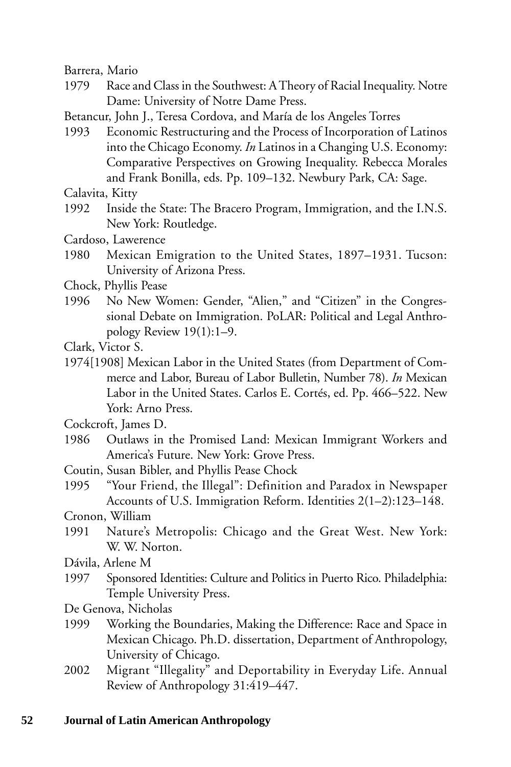Barrera, Mario

1979 Race and Class in the Southwest: A Theory of Racial Inequality. Notre Dame: University of Notre Dame Press.

Betancur, John J., Teresa Cordova, and María de los Angeles Torres

1993 Economic Restructuring and the Process of Incorporation of Latinos into the Chicago Economy. *In* Latinos in a Changing U.S. Economy: Comparative Perspectives on Growing Inequality. Rebecca Morales and Frank Bonilla, eds. Pp. 109–132. Newbury Park, CA: Sage.

Calavita, Kitty

- 1992 Inside the State: The Bracero Program, Immigration, and the I.N.S. New York: Routledge.
- Cardoso, Lawerence
- 1980 Mexican Emigration to the United States, 1897–1931. Tucson: University of Arizona Press.
- Chock, Phyllis Pease
- 1996 No New Women: Gender, "Alien," and "Citizen" in the Congressional Debate on Immigration. PoLAR: Political and Legal Anthropology Review 19(1):1–9.
- Clark, Victor S.
- 1974[1908] Mexican Labor in the United States (from Department of Commerce and Labor, Bureau of Labor Bulletin, Number 78). *In* Mexican Labor in the United States. Carlos E. Cortés, ed. Pp. 466–522. New York: Arno Press.

Cockcroft, James D.

- 1986 Outlaws in the Promised Land: Mexican Immigrant Workers and America's Future. New York: Grove Press.
- Coutin, Susan Bibler, and Phyllis Pease Chock
- 1995 "Your Friend, the Illegal": Definition and Paradox in Newspaper Accounts of U.S. Immigration Reform. Identities 2(1–2):123–148.

Cronon, William

1991 Nature's Metropolis: Chicago and the Great West. New York: W. W. Norton.

Dávila, Arlene M

- 1997 Sponsored Identities: Culture and Politics in Puerto Rico. Philadelphia: Temple University Press.
- De Genova, Nicholas
- 1999 Working the Boundaries, Making the Difference: Race and Space in Mexican Chicago. Ph.D. dissertation, Department of Anthropology, University of Chicago.
- 2002 Migrant "Illegality" and Deportability in Everyday Life. Annual Review of Anthropology 31:419–447.

#### **52 Journal of Latin American Anthropology**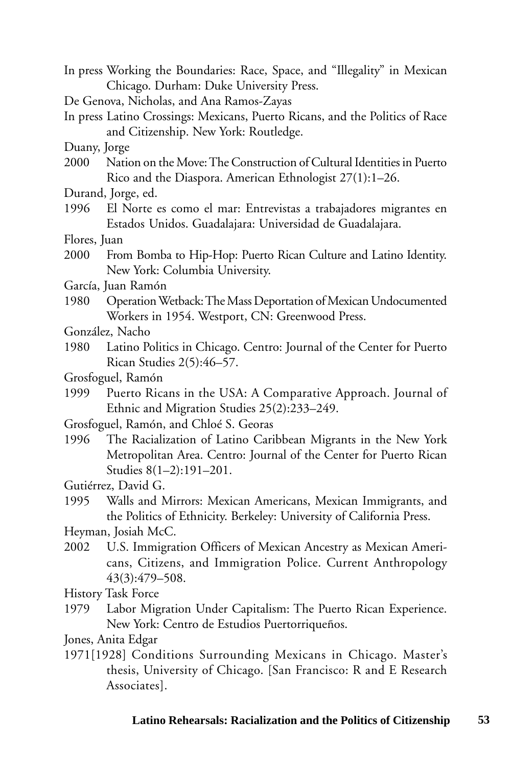- In press Working the Boundaries: Race, Space, and "Illegality" in Mexican Chicago. Durham: Duke University Press.
- De Genova, Nicholas, and Ana Ramos-Zayas
- In press Latino Crossings: Mexicans, Puerto Ricans, and the Politics of Race and Citizenship. New York: Routledge.

Duany, Jorge

- 2000 Nation on the Move: The Construction of Cultural Identities in Puerto Rico and the Diaspora. American Ethnologist 27(1):1–26.
- Durand, Jorge, ed.
- 1996 El Norte es como el mar: Entrevistas a trabajadores migrantes en Estados Unidos. Guadalajara: Universidad de Guadalajara.

Flores, Juan

- 2000 From Bomba to Hip-Hop: Puerto Rican Culture and Latino Identity. New York: Columbia University.
- García, Juan Ramón
- 1980 Operation Wetback: The Mass Deportation of Mexican Undocumented Workers in 1954. Westport, CN: Greenwood Press.
- González, Nacho
- 1980 Latino Politics in Chicago. Centro: Journal of the Center for Puerto Rican Studies 2(5):46–57.
- Grosfoguel, Ramón
- 1999 Puerto Ricans in the USA: A Comparative Approach. Journal of Ethnic and Migration Studies 25(2):233–249.
- Grosfoguel, Ramón, and Chloé S. Georas
- 1996 The Racialization of Latino Caribbean Migrants in the New York Metropolitan Area. Centro: Journal of the Center for Puerto Rican Studies 8(1–2):191–201.
- Gutiérrez, David G.
- 1995 Walls and Mirrors: Mexican Americans, Mexican Immigrants, and the Politics of Ethnicity. Berkeley: University of California Press.

Heyman, Josiah McC.

2002 U.S. Immigration Officers of Mexican Ancestry as Mexican Americans, Citizens, and Immigration Police. Current Anthropology 43(3):479–508.

History Task Force

1979 Labor Migration Under Capitalism: The Puerto Rican Experience. New York: Centro de Estudios Puertorriqueños.

Jones, Anita Edgar

1971[1928] Conditions Surrounding Mexicans in Chicago. Master's thesis, University of Chicago. [San Francisco: R and E Research Associates].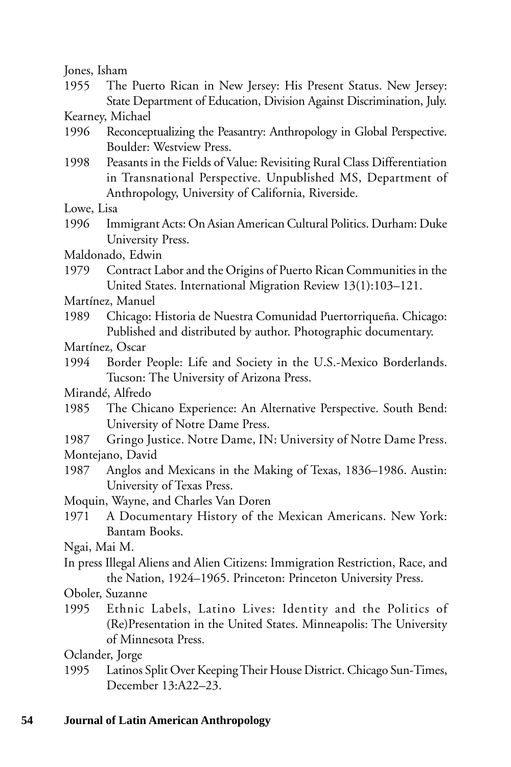Jones, Isham

1955 The Puerto Rican in New Jersey: His Present Status. New Jersey: State Department of Education, Division Against Discrimination, July.

Kearney, Michael

- 1996 Reconceptualizing the Peasantry: Anthropology in Global Perspective. Boulder: Westview Press.
- 1998 Peasants in the Fields of Value: Revisiting Rural Class Differentiation in Transnational Perspective. Unpublished MS, Department of Anthropology, University of California, Riverside.

Lowe, Lisa

- 1996 Immigrant Acts: On Asian American Cultural Politics. Durham: Duke University Press.
- Maldonado, Edwin
- 1979 Contract Labor and the Origins of Puerto Rican Communities in the United States. International Migration Review 13(1):103–121.

Martínez, Manuel

1989 Chicago: Historia de Nuestra Comunidad Puertorriqueña. Chicago: Published and distributed by author. Photographic documentary.

Martínez, Oscar

1994 Border People: Life and Society in the U.S.-Mexico Borderlands. Tucson: The University of Arizona Press.

Mirandé, Alfredo

- 1985 The Chicano Experience: An Alternative Perspective. South Bend: University of Notre Dame Press.
- 1987 Gringo Justice. Notre Dame, IN: University of Notre Dame Press. Montejano, David
- 1987 Anglos and Mexicans in the Making of Texas, 1836–1986. Austin: University of Texas Press.
- Moquin, Wayne, and Charles Van Doren
- 1971 A Documentary History of the Mexican Americans. New York: Bantam Books.

Ngai, Mai M.

In press Illegal Aliens and Alien Citizens: Immigration Restriction, Race, and the Nation, 1924–1965. Princeton: Princeton University Press.

Oboler, Suzanne

1995 Ethnic Labels, Latino Lives: Identity and the Politics of (Re)Presentation in the United States. Minneapolis: The University of Minnesota Press.

Oclander, Jorge

1995 Latinos Split Over Keeping Their House District. Chicago Sun-Times, December 13:A22–23.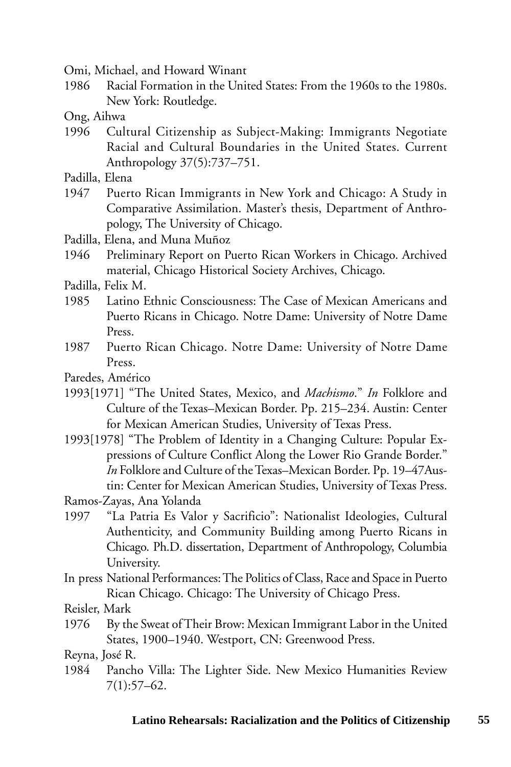Omi, Michael, and Howard Winant

- 1986 Racial Formation in the United States: From the 1960s to the 1980s. New York: Routledge.
- Ong, Aihwa
- 1996 Cultural Citizenship as Subject-Making: Immigrants Negotiate Racial and Cultural Boundaries in the United States. Current Anthropology 37(5):737–751.
- Padilla, Elena
- 1947 Puerto Rican Immigrants in New York and Chicago: A Study in Comparative Assimilation. Master's thesis, Department of Anthropology, The University of Chicago.
- Padilla, Elena, and Muna Muñoz
- 1946 Preliminary Report on Puerto Rican Workers in Chicago. Archived material, Chicago Historical Society Archives, Chicago.
- Padilla, Felix M.
- 1985 Latino Ethnic Consciousness: The Case of Mexican Americans and Puerto Ricans in Chicago. Notre Dame: University of Notre Dame Press.
- 1987 Puerto Rican Chicago. Notre Dame: University of Notre Dame Press.
- Paredes, Américo
- 1993[1971] "The United States, Mexico, and *Machismo*." *In* Folklore and Culture of the Texas–Mexican Border. Pp. 215–234. Austin: Center for Mexican American Studies, University of Texas Press.
- 1993[1978] "The Problem of Identity in a Changing Culture: Popular Expressions of Culture Conflict Along the Lower Rio Grande Border." *In* Folklore and Culture of the Texas–Mexican Border. Pp. 19–47Austin: Center for Mexican American Studies, University of Texas Press.

Ramos-Zayas, Ana Yolanda

- 1997 "La Patria Es Valor y Sacrificio": Nationalist Ideologies, Cultural Authenticity, and Community Building among Puerto Ricans in Chicago. Ph.D. dissertation, Department of Anthropology, Columbia University.
- In press National Performances: The Politics of Class, Race and Space in Puerto Rican Chicago. Chicago: The University of Chicago Press.

Reisler, Mark

1976 By the Sweat of Their Brow: Mexican Immigrant Labor in the United States, 1900–1940. Westport, CN: Greenwood Press.

Reyna, José R.

1984 Pancho Villa: The Lighter Side. New Mexico Humanities Review 7(1):57–62.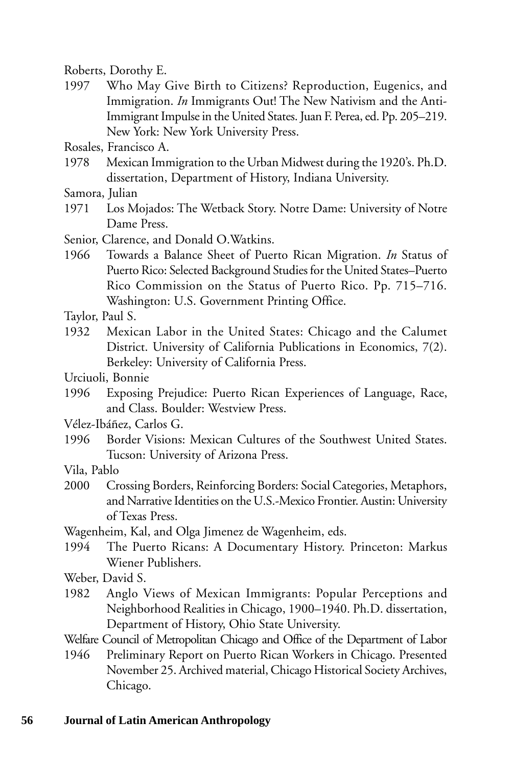Roberts, Dorothy E.

1997 Who May Give Birth to Citizens? Reproduction, Eugenics, and Immigration. *In* Immigrants Out! The New Nativism and the Anti-Immigrant Impulse in the United States. Juan F. Perea, ed. Pp. 205–219. New York: New York University Press.

Rosales, Francisco A.

1978 Mexican Immigration to the Urban Midwest during the 1920's. Ph.D. dissertation, Department of History, Indiana University.

Samora, Julian

- 1971 Los Mojados: The Wetback Story. Notre Dame: University of Notre Dame Press.
- Senior, Clarence, and Donald O.Watkins.
- 1966 Towards a Balance Sheet of Puerto Rican Migration. *In* Status of Puerto Rico: Selected Background Studies for the United States–Puerto Rico Commission on the Status of Puerto Rico. Pp. 715–716. Washington: U.S. Government Printing Office.
- Taylor, Paul S.
- 1932 Mexican Labor in the United States: Chicago and the Calumet District. University of California Publications in Economics, 7(2). Berkeley: University of California Press.

Urciuoli, Bonnie

1996 Exposing Prejudice: Puerto Rican Experiences of Language, Race, and Class. Boulder: Westview Press.

Vélez-Ibáñez, Carlos G.

1996 Border Visions: Mexican Cultures of the Southwest United States. Tucson: University of Arizona Press.

Vila, Pablo

2000 Crossing Borders, Reinforcing Borders: Social Categories, Metaphors, and Narrative Identities on the U.S.-Mexico Frontier. Austin: University of Texas Press.

Wagenheim, Kal, and Olga Jimenez de Wagenheim, eds.

1994 The Puerto Ricans: A Documentary History. Princeton: Markus Wiener Publishers.

Weber, David S.

1982 Anglo Views of Mexican Immigrants: Popular Perceptions and Neighborhood Realities in Chicago, 1900–1940. Ph.D. dissertation, Department of History, Ohio State University.

Welfare Council of Metropolitan Chicago and Office of the Department of Labor

1946 Preliminary Report on Puerto Rican Workers in Chicago. Presented November 25. Archived material, Chicago Historical Society Archives, Chicago.